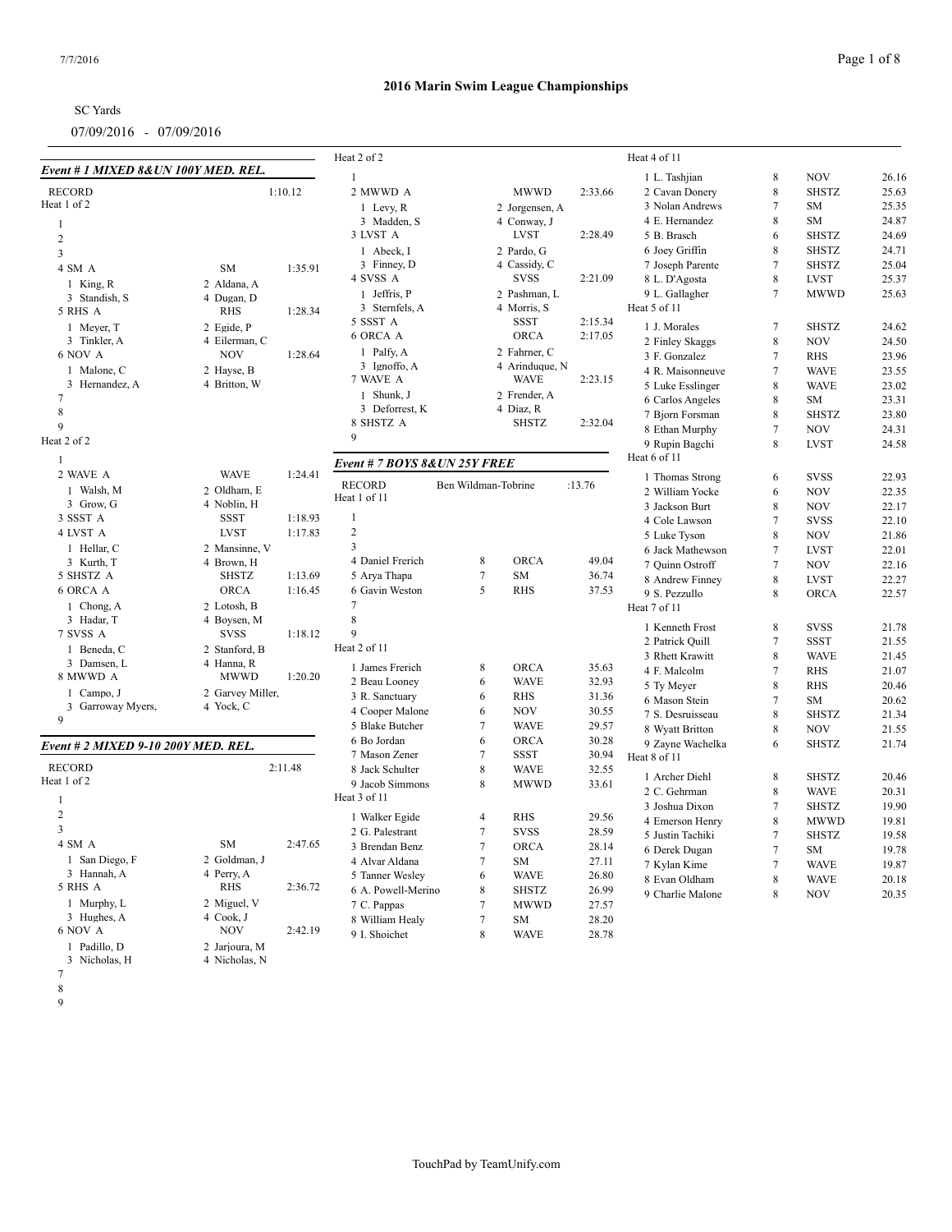| <b>SC</b> Yards |  |
|-----------------|--|
|                 |  |

## **2016 Marin Swim League Championships**

|                                      |                          |         | Heat 2 of 2                   |                     |                |         | Heat 4 of 11                       |                  |                            |                |
|--------------------------------------|--------------------------|---------|-------------------------------|---------------------|----------------|---------|------------------------------------|------------------|----------------------------|----------------|
| Event # 1 MIXED 8& UN 100Y MED. REL. |                          |         | $\mathbf{1}$                  |                     |                |         | 1 L. Tashjian                      | $\,8\,$          | <b>NOV</b>                 | 26.16          |
| <b>RECORD</b>                        |                          | 1:10.12 | 2 MWWD A                      |                     | <b>MWWD</b>    | 2:33.66 | 2 Cavan Donery                     | 8                | <b>SHSTZ</b>               | 25.63          |
| Heat 1 of 2                          |                          |         | 1 Levy, $R$                   |                     | 2 Jorgensen, A |         | 3 Nolan Andrews                    | $\tau$           | <b>SM</b>                  | 25.35          |
| $\mathbf{1}$                         |                          |         | 3 Madden, S                   |                     | 4 Conway, J    |         | 4 E. Hernandez                     | 8                | <b>SM</b>                  | 24.87          |
| $\sqrt{2}$                           |                          |         | 3 LVST A                      |                     | <b>LVST</b>    | 2:28.49 | 5 B. Brasch                        | 6                | <b>SHSTZ</b>               | 24.69          |
| $\overline{\mathbf{3}}$              |                          |         | 1 Abeck, I                    |                     | 2 Pardo, G     |         | 6 Joey Griffin                     | 8                | <b>SHSTZ</b>               | 24.71          |
| 4 SM A                               | <b>SM</b>                | 1:35.91 | 3 Finney, D                   |                     | 4 Cassidy, C   |         | 7 Joseph Parente                   | $7\phantom{.0}$  | <b>SHSTZ</b>               | 25.04          |
|                                      |                          |         | 4 SVSS A                      |                     | <b>SVSS</b>    | 2:21.09 | 8 L. D'Agosta                      | $\,$ 8 $\,$      | <b>LVST</b>                | 25.37          |
| 1 King, R                            | 2 Aldana, A              |         | 1 Jeffris, P                  |                     | 2 Pashman, L   |         | 9 L. Gallagher                     | $7\phantom{.0}$  | <b>MWWD</b>                | 25.63          |
| 3 Standish, S<br>5 RHS A             | 4 Dugan, D<br><b>RHS</b> | 1:28.34 | 3 Sternfels, A                |                     | 4 Morris, S    |         | Heat 5 of 11                       |                  |                            |                |
| 1 Meyer, T                           | 2 Egide, P               |         | 5 SSST A                      |                     | SSST           | 2:15.34 | 1 J. Morales                       | $7\phantom{.0}$  | <b>SHSTZ</b>               | 24.62          |
| 3 Tinkler, A                         | 4 Eilerman, C            |         | 6 ORCA A                      |                     | <b>ORCA</b>    | 2:17.05 | 2 Finley Skaggs                    | $\,8\,$          | <b>NOV</b>                 | 24.50          |
| 6 NOV A                              | <b>NOV</b>               | 1:28.64 | 1 Palfy, A                    |                     | 2 Fahrner, C   |         | 3 F. Gonzalez                      | $\tau$           | <b>RHS</b>                 | 23.96          |
| 1 Malone, C                          | 2 Hayse, B               |         | 3 Ignoffo, A                  |                     | 4 Arinduque, N |         | 4 R. Maisonneuve                   | $\tau$           | <b>WAVE</b>                | 23.55          |
| 3 Hernandez, A                       | 4 Britton, W             |         | 7 WAVE A                      |                     | <b>WAVE</b>    | 2:23.15 | 5 Luke Esslinger                   | 8                | <b>WAVE</b>                | 23.02          |
| $\tau$                               |                          |         | 1 Shunk, J                    |                     | 2 Frender, A   |         | 6 Carlos Angeles                   | 8                | SM                         | 23.31          |
| $\,$ 8 $\,$                          |                          |         | 3 Deforrest, K                |                     | 4 Diaz, R      |         | 7 Bjorn Forsman                    | 8                | <b>SHSTZ</b>               | 23.80          |
| $\mathbf{Q}$                         |                          |         | 8 SHSTZ A                     |                     | <b>SHSTZ</b>   | 2:32.04 | 8 Ethan Murphy                     | $\tau$           | <b>NOV</b>                 | 24.31          |
| Heat 2 of 2                          |                          |         | 9                             |                     |                |         | 9 Rupin Bagchi                     | 8                | <b>LVST</b>                | 24.58          |
| $\overline{1}$                       |                          |         |                               |                     |                |         | Heat 6 of 11                       |                  |                            |                |
| 2 WAVE A                             | <b>WAVE</b>              | 1:24.41 | Event # 7 BOYS 8& UN 25Y FREE |                     |                |         | 1 Thomas Strong                    | 6                | <b>SVSS</b>                | 22.93          |
| 1 Walsh, M                           | 2 Oldham, E              |         | <b>RECORD</b>                 | Ben Wildman-Tobrine |                | :13.76  | 2 William Yocke                    | 6                | <b>NOV</b>                 | 22.35          |
| 3 Grow, G                            | 4 Noblin, H              |         | Heat 1 of 11                  |                     |                |         | 3 Jackson Burt                     | 8                | <b>NOV</b>                 | 22.17          |
| 3 SSST A                             | <b>SSST</b>              | 1:18.93 | $\mathbf{1}$                  |                     |                |         | 4 Cole Lawson                      | $\overline{7}$   | <b>SVSS</b>                | 22.10          |
| 4 LVST A                             | <b>LVST</b>              | 1:17.83 | $\overline{2}$                |                     |                |         | 5 Luke Tyson                       | $\,8\,$          | <b>NOV</b>                 | 21.86          |
| 1 Hellar, C                          | 2 Mansinne, V            |         | 3                             |                     |                |         | 6 Jack Mathewson                   | $\tau$           | <b>LVST</b>                | 22.01          |
| 3 Kurth, T                           | 4 Brown, H               |         | 4 Daniel Frerich              | 8                   | <b>ORCA</b>    | 49.04   | 7 Quinn Ostroff                    | $7\phantom{.0}$  | <b>NOV</b>                 | 22.16          |
| 5 SHSTZ A                            | <b>SHSTZ</b>             | 1:13.69 | 5 Arya Thapa                  | $7\phantom{.0}$     | SM             | 36.74   | 8 Andrew Finney                    | $\,8\,$          | <b>LVST</b>                | 22.27          |
| 6 ORCA A                             | <b>ORCA</b>              | 1:16.45 | 6 Gavin Weston                | 5                   | <b>RHS</b>     | 37.53   | 9 S. Pezzullo                      | 8                | ORCA                       | 22.57          |
| 1 Chong, A                           | 2 Lotosh, B              |         | $\tau$                        |                     |                |         | Heat 7 of 11                       |                  |                            |                |
| 3 Hadar, T                           | 4 Boysen, M              |         | $\,8\,$                       |                     |                |         | 1 Kenneth Frost                    | 8                | <b>SVSS</b>                | 21.78          |
| 7 SVSS A                             | <b>SVSS</b>              | 1:18.12 | 9                             |                     |                |         |                                    | $\boldsymbol{7}$ |                            |                |
| 1 Beneda, C                          | 2 Stanford, B            |         | Heat 2 of 11                  |                     |                |         | 2 Patrick Quill<br>3 Rhett Krawitt | 8                | <b>SSST</b><br><b>WAVE</b> | 21.55<br>21.45 |
| 3 Damsen, L                          | 4 Hanna, R               |         | 1 James Frerich               | 8                   | ORCA           | 35.63   | 4 F. Malcolm                       | $\overline{7}$   |                            |                |
| 8 MWWD A                             | <b>MWWD</b>              | 1:20.20 | 2 Beau Looney                 | 6                   | <b>WAVE</b>    | 32.93   |                                    | $\,$ 8 $\,$      | <b>RHS</b><br><b>RHS</b>   | 21.07<br>20.46 |
| 1 Campo, J                           | 2 Garvey Miller,         |         | 3 R. Sanctuary                | 6                   | <b>RHS</b>     | 31.36   | 5 Ty Meyer<br>6 Mason Stein        | $\overline{7}$   | SM                         | 20.62          |
| Garroway Myers,<br>3                 | 4 Yock, C                |         | 4 Cooper Malone               | 6                   | <b>NOV</b>     | 30.55   | 7 S. Desruisseau                   | 8                | <b>SHSTZ</b>               | 21.34          |
| 9                                    |                          |         | 5 Blake Butcher               | $\overline{7}$      | <b>WAVE</b>    | 29.57   | 8 Wyatt Britton                    | $\,8\,$          | <b>NOV</b>                 | 21.55          |
|                                      |                          |         | 6 Bo Jordan                   | 6                   | <b>ORCA</b>    | 30.28   | 9 Zayne Wachelka                   | 6                | <b>SHSTZ</b>               | 21.74          |
| Event # 2 MIXED 9-10 200Y MED. REL.  |                          |         | 7 Mason Zener                 | $7\phantom{.0}$     | <b>SSST</b>    | 30.94   | Heat 8 of 11                       |                  |                            |                |
| <b>RECORD</b>                        |                          | 2:11.48 | 8 Jack Schulter               | $\,8\,$             | <b>WAVE</b>    | 32.55   |                                    |                  |                            |                |
| Heat 1 of 2                          |                          |         | 9 Jacob Simmons               | 8                   | <b>MWWD</b>    | 33.61   | 1 Archer Diehl                     | 8                | <b>SHSTZ</b>               | 20.46          |
| $\mathbf{1}$                         |                          |         | Heat 3 of 11                  |                     |                |         | 2 C. Gehrman                       | 8                | <b>WAVE</b>                | 20.31          |
| 2                                    |                          |         | 1 Walker Egide                | $\overline{4}$      | <b>RHS</b>     | 29.56   | 3 Joshua Dixon                     | $\tau$           | <b>SHSTZ</b>               | 19.90          |
| $\overline{3}$                       |                          |         | 2 G. Palestrant               | $\overline{7}$      | <b>SVSS</b>    | 28.59   | 4 Emerson Henry                    | $\,8\,$          | <b>MWWD</b>                | 19.81          |
| 4 SM A                               | ${\rm SM}$               | 2:47.65 | 3 Brendan Benz                | $7\phantom{.0}$     | <b>ORCA</b>    | 28.14   | 5 Justin Tachiki                   | $\tau$           | <b>SHSTZ</b>               | 19.58          |
| 1 San Diego, F                       | 2 Goldman, J             |         | 4 Alvar Aldana                | $\overline{7}$      | <b>SM</b>      | 27.11   | 6 Derek Dugan                      | $\tau$           | <b>SM</b>                  | 19.78          |
| 3 Hannah, A                          | 4 Perry, A               |         | 5 Tanner Wesley               | 6                   | <b>WAVE</b>    | 26.80   | 7 Kylan Kime                       | $7\phantom{.0}$  | <b>WAVE</b>                | 19.87          |
| 5 RHS A                              | <b>RHS</b>               | 2:36.72 | 6 A. Powell-Merino            | $\,8\,$             | <b>SHSTZ</b>   | 26.99   | 8 Evan Oldham                      | $\,8\,$          | <b>WAVE</b>                | 20.18          |
| 1 Murphy, L                          | 2 Miguel, V              |         | 7 C. Pappas                   | $\tau$              | <b>MWWD</b>    | 27.57   | 9 Charlie Malone                   | 8                | <b>NOV</b>                 | 20.35          |
| 3 Hughes, A                          | 4 Cook, J                |         | 8 William Healy               | $\overline{7}$      | SM             | 28.20   |                                    |                  |                            |                |
| 6 NOV A                              | <b>NOV</b>               | 2:42.19 | 9 I. Shoichet                 | $\,$ 8 $\,$         | <b>WAVE</b>    | 28.78   |                                    |                  |                            |                |
| 1 Padillo, D                         | 2 Jarjoura, M            |         |                               |                     |                |         |                                    |                  |                            |                |

3 Nicholas, H 4 Nicholas, N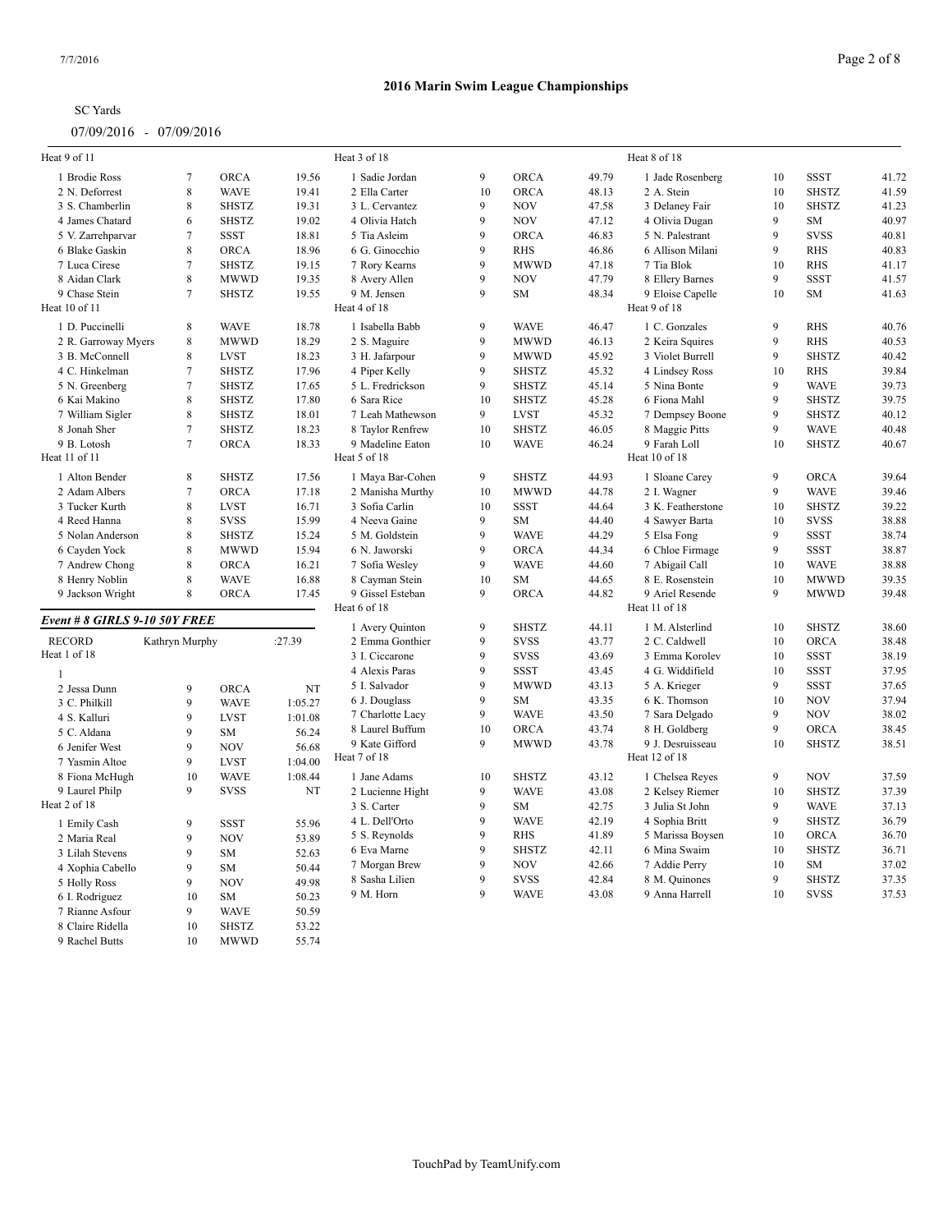| <b>SC</b> Yards |  |
|-----------------|--|
|-----------------|--|

| Heat 9 of 11                  |                |              |         | Heat 3 of 18     |    |              |       | Heat 8 of 18      |    |              |       |
|-------------------------------|----------------|--------------|---------|------------------|----|--------------|-------|-------------------|----|--------------|-------|
| 1 Brodie Ross                 | 7              | <b>ORCA</b>  | 19.56   | 1 Sadie Jordan   | 9  | <b>ORCA</b>  | 49.79 | 1 Jade Rosenberg  | 10 | <b>SSST</b>  | 41.72 |
| 2 N. Deforrest                | $\,$ 8 $\,$    | <b>WAVE</b>  | 19.41   | 2 Ella Carter    | 10 | <b>ORCA</b>  | 48.13 | 2 A. Stein        | 10 | <b>SHSTZ</b> | 41.59 |
| 3 S. Chamberlin               | 8              | <b>SHSTZ</b> | 19.31   | 3 L. Cervantez   | 9  | <b>NOV</b>   | 47.58 | 3 Delaney Fair    | 10 | <b>SHSTZ</b> | 41.23 |
| 4 James Chatard               | 6              | <b>SHSTZ</b> | 19.02   | 4 Olivia Hatch   | 9  | $\rm NOV$    | 47.12 | 4 Olivia Dugan    | 9  | ${\rm SM}$   | 40.97 |
| 5 V. Zarrehparvar             | $\overline{7}$ | <b>SSST</b>  | 18.81   | 5 Tia Asleim     | 9  | <b>ORCA</b>  | 46.83 | 5 N. Palestrant   | 9  | <b>SVSS</b>  | 40.81 |
| 6 Blake Gaskin                | $\,$ 8 $\,$    | <b>ORCA</b>  | 18.96   | 6 G. Ginocchio   | 9  | <b>RHS</b>   | 46.86 | 6 Allison Milani  | 9  | <b>RHS</b>   | 40.83 |
| 7 Luca Cirese                 | $\overline{7}$ | <b>SHSTZ</b> | 19.15   | 7 Rory Kearns    | 9  | <b>MWWD</b>  | 47.18 | 7 Tia Blok        | 10 | <b>RHS</b>   | 41.17 |
| 8 Aidan Clark                 | 8              | <b>MWWD</b>  | 19.35   | 8 Avery Allen    | 9  | <b>NOV</b>   | 47.79 | 8 Ellery Barnes   | 9  | <b>SSST</b>  | 41.57 |
| 9 Chase Stein                 | $\overline{7}$ | <b>SHSTZ</b> | 19.55   | 9 M. Jensen      | 9  | SM           | 48.34 | 9 Eloise Capelle  | 10 | <b>SM</b>    | 41.63 |
| Heat 10 of 11                 |                |              |         | Heat 4 of 18     |    |              |       | Heat 9 of 18      |    |              |       |
| 1 D. Puccinelli               | 8              | <b>WAVE</b>  | 18.78   | 1 Isabella Babb  | 9  | <b>WAVE</b>  | 46.47 | 1 C. Gonzales     | 9  | <b>RHS</b>   | 40.76 |
| 2 R. Garroway Myers           | 8              | <b>MWWD</b>  | 18.29   | 2 S. Maguire     | 9  | <b>MWWD</b>  | 46.13 | 2 Keira Squires   | 9  | <b>RHS</b>   | 40.53 |
| 3 B. McConnell                | 8              | <b>LVST</b>  | 18.23   | 3 H. Jafarpour   | 9  | <b>MWWD</b>  | 45.92 | 3 Violet Burrell  | 9  | <b>SHSTZ</b> | 40.42 |
| 4 C. Hinkelman                | $\overline{7}$ | <b>SHSTZ</b> | 17.96   | 4 Piper Kelly    | 9  | <b>SHSTZ</b> | 45.32 | 4 Lindsey Ross    | 10 | <b>RHS</b>   | 39.84 |
| 5 N. Greenberg                | $\overline{7}$ | <b>SHSTZ</b> | 17.65   | 5 L. Fredrickson | 9  | <b>SHSTZ</b> | 45.14 | 5 Nina Bonte      | 9  | <b>WAVE</b>  | 39.73 |
| 6 Kai Makino                  | 8              | <b>SHSTZ</b> | 17.80   | 6 Sara Rice      | 10 | <b>SHSTZ</b> | 45.28 | 6 Fiona Mahl      | 9  | <b>SHSTZ</b> | 39.75 |
| 7 William Sigler              | $\,$ 8 $\,$    | <b>SHSTZ</b> | 18.01   | 7 Leah Mathewson | 9  | <b>LVST</b>  | 45.32 | 7 Dempsey Boone   | 9  | <b>SHSTZ</b> | 40.12 |
| 8 Jonah Sher                  | $\tau$         | <b>SHSTZ</b> | 18.23   | 8 Taylor Renfrew | 10 | <b>SHSTZ</b> | 46.05 | 8 Maggie Pitts    | 9  | <b>WAVE</b>  | 40.48 |
| 9 B. Lotosh                   | $\overline{7}$ | <b>ORCA</b>  | 18.33   | 9 Madeline Eaton | 10 | <b>WAVE</b>  | 46.24 | 9 Farah Loll      | 10 | <b>SHSTZ</b> | 40.67 |
| Heat 11 of 11                 |                |              |         | Heat 5 of 18     |    |              |       | Heat 10 of 18     |    |              |       |
| 1 Alton Bender                | 8              | <b>SHSTZ</b> | 17.56   | 1 Maya Bar-Cohen | 9  | <b>SHSTZ</b> | 44.93 | 1 Sloane Carey    | 9  | ORCA         | 39.64 |
| 2 Adam Albers                 | $\overline{7}$ | <b>ORCA</b>  | 17.18   | 2 Manisha Murthy | 10 | <b>MWWD</b>  | 44.78 | 2 I. Wagner       | 9  | <b>WAVE</b>  | 39.46 |
| 3 Tucker Kurth                | 8              | <b>LVST</b>  | 16.71   | 3 Sofia Carlin   | 10 | <b>SSST</b>  | 44.64 | 3 K. Featherstone | 10 | <b>SHSTZ</b> | 39.22 |
| 4 Reed Hanna                  | 8              | <b>SVSS</b>  | 15.99   | 4 Neeva Gaine    | 9  | SM           | 44.40 | 4 Sawyer Barta    | 10 | <b>SVSS</b>  | 38.88 |
| 5 Nolan Anderson              | 8              | <b>SHSTZ</b> | 15.24   | 5 M. Goldstein   | 9  | <b>WAVE</b>  | 44.29 | 5 Elsa Fong       | 9  | <b>SSST</b>  | 38.74 |
| 6 Cayden Yock                 | 8              | <b>MWWD</b>  | 15.94   | 6 N. Jaworski    | 9  | <b>ORCA</b>  | 44.34 | 6 Chloe Firmage   | 9  | <b>SSST</b>  | 38.87 |
| 7 Andrew Chong                | 8              | <b>ORCA</b>  | 16.21   | 7 Sofia Wesley   | 9  | <b>WAVE</b>  | 44.60 | 7 Abigail Call    | 10 | <b>WAVE</b>  | 38.88 |
| 8 Henry Noblin                | 8              | <b>WAVE</b>  | 16.88   | 8 Cayman Stein   | 10 | SM           | 44.65 | 8 E. Rosenstein   | 10 | <b>MWWD</b>  | 39.35 |
| 9 Jackson Wright              | 8              | <b>ORCA</b>  | 17.45   | 9 Gissel Esteban | 9  | <b>ORCA</b>  | 44.82 | 9 Ariel Resende   | 9  | <b>MWWD</b>  | 39.48 |
|                               |                |              |         | Heat 6 of 18     |    |              |       | Heat 11 of 18     |    |              |       |
| Event # 8 GIRLS 9-10 50Y FREE |                |              |         | 1 Avery Quinton  | 9  | <b>SHSTZ</b> | 44.11 | 1 M. Alsterlind   | 10 | <b>SHSTZ</b> | 38.60 |
| <b>RECORD</b>                 | Kathryn Murphy |              | :27.39  | 2 Emma Gonthier  | 9  | <b>SVSS</b>  | 43.77 | 2 C. Caldwell     | 10 | ORCA         | 38.48 |
| Heat 1 of 18                  |                |              |         | 3 I. Ciccarone   | 9  | <b>SVSS</b>  | 43.69 | 3 Emma Korolev    | 10 | <b>SSST</b>  | 38.19 |
| $\mathbf{1}$                  |                |              |         | 4 Alexis Paras   | 9  | <b>SSST</b>  | 43.45 | 4 G. Widdifield   | 10 | <b>SSST</b>  | 37.95 |
| 2 Jessa Dunn                  | 9              | <b>ORCA</b>  | NT      | 5 I. Salvador    | 9  | <b>MWWD</b>  | 43.13 | 5 A. Krieger      | 9  | <b>SSST</b>  | 37.65 |
| 3 C. Philkill                 | 9              | <b>WAVE</b>  | 1:05.27 | 6 J. Douglass    | 9  | <b>SM</b>    | 43.35 | 6 K. Thomson      | 10 | <b>NOV</b>   | 37.94 |
| 4 S. Kalluri                  | 9              | <b>LVST</b>  | 1:01.08 | 7 Charlotte Lacy | 9  | <b>WAVE</b>  | 43.50 | 7 Sara Delgado    | 9  | <b>NOV</b>   | 38.02 |
| 5 C. Aldana                   | 9              |              |         | 8 Laurel Buffum  | 10 | ORCA         | 43.74 | 8 H. Goldberg     | 9  | ORCA         | 38.45 |
|                               | 9              | SM           | 56.24   | 9 Kate Gifford   | 9  | <b>MWWD</b>  | 43.78 | 9 J. Desruisseau  | 10 | <b>SHSTZ</b> | 38.51 |
| 6 Jenifer West                |                | <b>NOV</b>   | 56.68   | Heat 7 of 18     |    |              |       | Heat 12 of 18     |    |              |       |
| 7 Yasmin Altoe                | 9              | <b>LVST</b>  | 1:04.00 |                  |    |              |       |                   |    |              |       |
| 8 Fiona McHugh                | 10             | <b>WAVE</b>  | 1:08.44 | 1 Jane Adams     | 10 | <b>SHSTZ</b> | 43.12 | 1 Chelsea Reyes   | 9  | <b>NOV</b>   | 37.59 |
| 9 Laurel Philp                | 9              | <b>SVSS</b>  | NT      | 2 Lucienne Hight | 9  | <b>WAVE</b>  | 43.08 | 2 Kelsey Riemer   | 10 | <b>SHSTZ</b> | 37.39 |
| Heat 2 of 18                  |                |              |         | 3 S. Carter      | 9  | <b>SM</b>    | 42.75 | 3 Julia St John   | 9  | <b>WAVE</b>  | 37.13 |
| 1 Emily Cash                  | 9              | <b>SSST</b>  | 55.96   | 4 L. Dell'Orto   | 9  | <b>WAVE</b>  | 42.19 | 4 Sophia Britt    | 9  | <b>SHSTZ</b> | 36.79 |
| 2 Maria Real                  | 9              | <b>NOV</b>   | 53.89   | 5 S. Reynolds    | 9  | <b>RHS</b>   | 41.89 | 5 Marissa Boysen  | 10 | <b>ORCA</b>  | 36.70 |
| 3 Lilah Stevens               | 9              | SM           | 52.63   | 6 Eva Marne      | 9  | <b>SHSTZ</b> | 42.11 | 6 Mina Swaim      | 10 | <b>SHSTZ</b> | 36.71 |
| 4 Xophia Cabello              | 9              | SM           | 50.44   | 7 Morgan Brew    | 9  | <b>NOV</b>   | 42.66 | 7 Addie Perry     | 10 | SM           | 37.02 |
| 5 Holly Ross                  | 9              | <b>NOV</b>   | 49.98   | 8 Sasha Lilien   | 9  | <b>SVSS</b>  | 42.84 | 8 M. Quinones     | 9  | <b>SHSTZ</b> | 37.35 |
| 6 I. Rodriguez                | 10             | SM           | 50.23   | 9 M. Horn        | 9  | <b>WAVE</b>  | 43.08 | 9 Anna Harrell    | 10 | <b>SVSS</b>  | 37.53 |
| 7 Rianne Asfour               | 9              | <b>WAVE</b>  | 50.59   |                  |    |              |       |                   |    |              |       |
| 8 Claire Ridella              | 10             | <b>SHSTZ</b> | 53.22   |                  |    |              |       |                   |    |              |       |
| 9 Rachel Butts                | 10             | <b>MWWD</b>  | 55.74   |                  |    |              |       |                   |    |              |       |
|                               |                |              |         |                  |    |              |       |                   |    |              |       |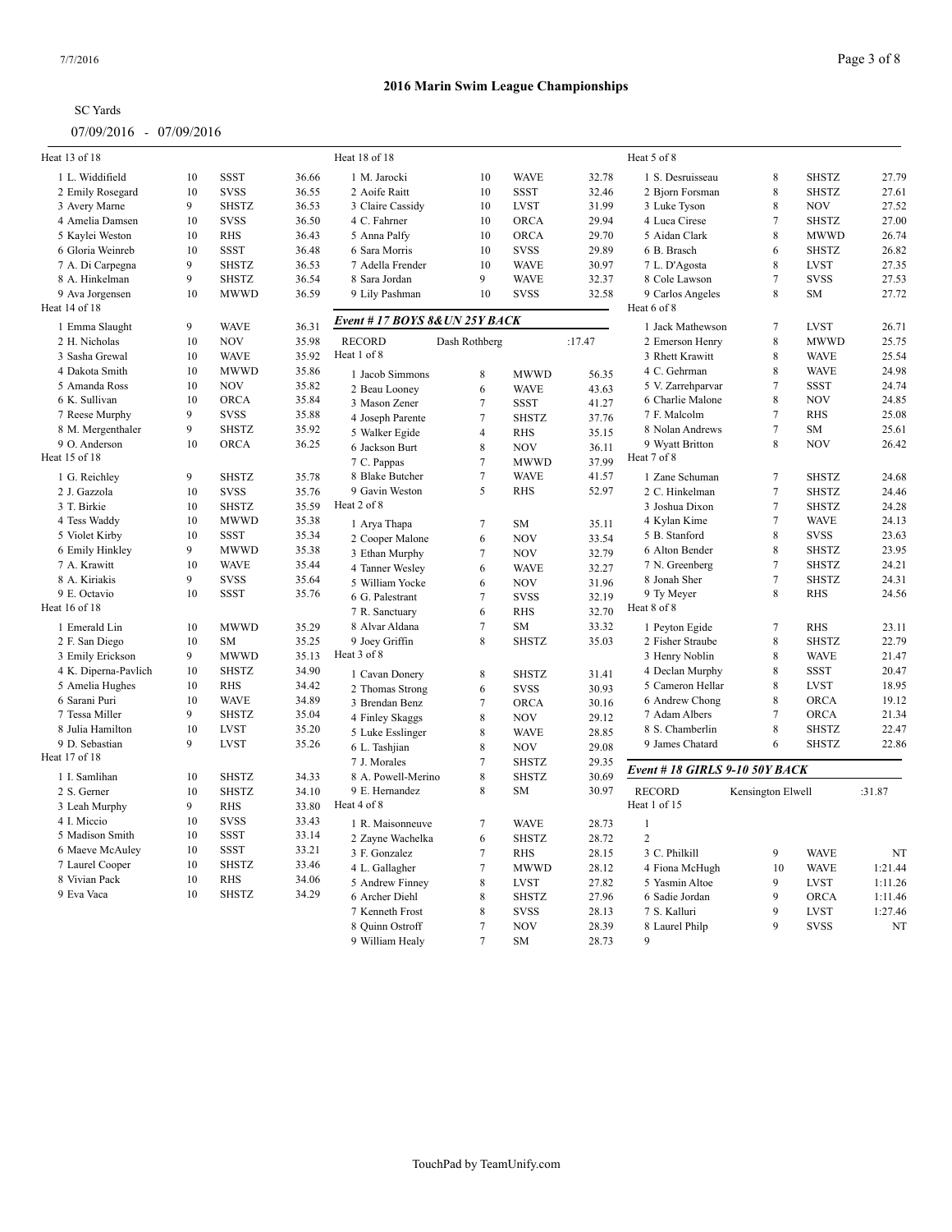| Heat 13 of 18        |              |                             |       | Heat 18 of 18                     |                          |                            |                | Heat 5 of 8                    |                   |                            |         |
|----------------------|--------------|-----------------------------|-------|-----------------------------------|--------------------------|----------------------------|----------------|--------------------------------|-------------------|----------------------------|---------|
|                      |              |                             |       |                                   |                          |                            |                |                                |                   |                            |         |
| 1 L. Widdifield      | 10<br>10     | <b>SSST</b>                 | 36.66 | 1 M. Jarocki                      | 10<br>10                 | <b>WAVE</b>                | 32.78          | 1 S. Desruisseau               | 8                 | <b>SHSTZ</b>               | 27.79   |
| 2 Emily Rosegard     | 9            | <b>SVSS</b><br><b>SHSTZ</b> | 36.55 | 2 Aoife Raitt                     |                          | <b>SSST</b><br><b>LVST</b> | 32.46          | 2 Bjorn Forsman                | 8<br>$\,$ 8 $\,$  | <b>SHSTZ</b><br><b>NOV</b> | 27.61   |
| 3 Avery Marne        |              | <b>SVSS</b>                 | 36.53 | 3 Claire Cassidy                  | 10                       |                            | 31.99          | 3 Luke Tyson                   | $\overline{7}$    |                            | 27.52   |
| 4 Amelia Damsen      | 10           |                             | 36.50 | 4 C. Fahrner                      | 10                       | <b>ORCA</b>                | 29.94          | 4 Luca Cirese                  |                   | <b>SHSTZ</b>               | 27.00   |
| 5 Kaylei Weston      | 10           | <b>RHS</b>                  | 36.43 | 5 Anna Palfy                      | 10                       | <b>ORCA</b>                | 29.70          | 5 Aidan Clark                  | 8                 | <b>MWWD</b>                | 26.74   |
| 6 Gloria Weinreb     | 10           | SSST                        | 36.48 | 6 Sara Morris                     | 10                       | <b>SVSS</b>                | 29.89          | 6 B. Brasch                    | 6                 | <b>SHSTZ</b>               | 26.82   |
| 7 A. Di Carpegna     | 9            | <b>SHSTZ</b>                | 36.53 | 7 Adella Frender                  | 10                       | <b>WAVE</b>                | 30.97          | 7 L. D'Agosta                  | 8                 | <b>LVST</b>                | 27.35   |
| 8 A. Hinkelman       | 9            | <b>SHSTZ</b>                | 36.54 | 8 Sara Jordan                     | 9                        | <b>WAVE</b>                | 32.37          | 8 Cole Lawson                  | $\overline{7}$    | <b>SVSS</b>                | 27.53   |
| 9 Ava Jorgensen      | 10           | <b>MWWD</b>                 | 36.59 | 9 Lily Pashman                    | 10                       | <b>SVSS</b>                | 32.58          | 9 Carlos Angeles               | 8                 | SM                         | 27.72   |
| Heat 14 of 18        |              |                             |       | Event #17 BOYS 8& UN 25Y BACK     |                          |                            |                | Heat 6 of 8                    |                   |                            |         |
| 1 Emma Slaught       | $\mathbf{Q}$ | <b>WAVE</b>                 | 36.31 |                                   |                          |                            |                | 1 Jack Mathewson               | $\overline{7}$    | <b>LVST</b>                | 26.71   |
| 2 H. Nicholas        | 10           | <b>NOV</b>                  | 35.98 | <b>RECORD</b>                     | Dash Rothberg            |                            | :17.47         | 2 Emerson Henry                | 8                 | <b>MWWD</b>                | 25.75   |
| 3 Sasha Grewal       | 10           | <b>WAVE</b>                 | 35.92 | Heat 1 of 8                       |                          |                            |                | 3 Rhett Krawitt                | 8                 | <b>WAVE</b>                | 25.54   |
| 4 Dakota Smith       | 10           | <b>MWWD</b>                 | 35.86 | 1 Jacob Simmons                   | 8                        | <b>MWWD</b>                | 56.35          | 4 C. Gehrman                   | 8                 | <b>WAVE</b>                | 24.98   |
| 5 Amanda Ross        | 10           | <b>NOV</b>                  | 35.82 | 2 Beau Looney                     | 6                        | <b>WAVE</b>                | 43.63          | 5 V. Zarrehparvar              | $\overline{7}$    | <b>SSST</b>                | 24.74   |
| 6 K. Sullivan        | 10           | <b>ORCA</b>                 | 35.84 | 3 Mason Zener                     | $7\phantom{.0}$          | <b>SSST</b>                | 41.27          | 6 Charlie Malone               | 8                 | <b>NOV</b>                 | 24.85   |
| 7 Reese Murphy       | 9            | <b>SVSS</b>                 | 35.88 | 4 Joseph Parente                  | $\overline{7}$           | <b>SHSTZ</b>               | 37.76          | 7 F. Malcolm                   | $\overline{7}$    | <b>RHS</b>                 | 25.08   |
| 8 M. Mergenthaler    | 9            | <b>SHSTZ</b>                | 35.92 | 5 Walker Egide                    | $\overline{4}$           | <b>RHS</b>                 | 35.15          | 8 Nolan Andrews                | $\overline{7}$    | SM                         | 25.61   |
| 9 O. Anderson        | 10           | <b>ORCA</b>                 | 36.25 | 6 Jackson Burt                    | $\,$ 8 $\,$              | <b>NOV</b>                 | 36.11          | 9 Wyatt Britton                | 8                 | <b>NOV</b>                 | 26.42   |
| Heat 15 of 18        |              |                             |       | 7 C. Pappas                       | $\overline{7}$           | <b>MWWD</b>                | 37.99          | Heat 7 of 8                    |                   |                            |         |
| 1 G. Reichley        | 9            | <b>SHSTZ</b>                | 35.78 | 8 Blake Butcher                   | $7\phantom{.0}$          | <b>WAVE</b>                | 41.57          | 1 Zane Schuman                 | $\overline{7}$    | <b>SHSTZ</b>               | 24.68   |
| 2 J. Gazzola         | 10           | <b>SVSS</b>                 | 35.76 | 9 Gavin Weston                    | 5                        | <b>RHS</b>                 | 52.97          | 2 C. Hinkelman                 | $\overline{7}$    | <b>SHSTZ</b>               | 24.46   |
| 3 T. Birkie          | 10           | <b>SHSTZ</b>                | 35.59 | Heat 2 of 8                       |                          |                            |                | 3 Joshua Dixon                 | $\overline{7}$    | <b>SHSTZ</b>               | 24.28   |
| 4 Tess Waddy         | 10           | <b>MWWD</b>                 | 35.38 | 1 Arya Thapa                      | $\boldsymbol{7}$         | SM                         | 35.11          | 4 Kylan Kime                   | $\tau$            | <b>WAVE</b>                | 24.13   |
| 5 Violet Kirby       | 10           | <b>SSST</b>                 | 35.34 | 2 Cooper Malone                   | 6                        | <b>NOV</b>                 | 33.54          | 5 B. Stanford                  | 8                 | <b>SVSS</b>                | 23.63   |
| 6 Emily Hinkley      | 9            | <b>MWWD</b>                 | 35.38 |                                   | $\tau$                   | <b>NOV</b>                 |                | 6 Alton Bender                 | 8                 | <b>SHSTZ</b>               | 23.95   |
| 7 A. Krawitt         | 10           | <b>WAVE</b>                 | 35.44 | 3 Ethan Murphy<br>4 Tanner Wesley |                          | <b>WAVE</b>                | 32.79<br>32.27 | 7 N. Greenberg                 | $\tau$            | <b>SHSTZ</b>               | 24.21   |
| 8 A. Kiriakis        | 9            | <b>SVSS</b>                 | 35.64 |                                   | 6                        | <b>NOV</b>                 |                | 8 Jonah Sher                   | $\overline{7}$    | <b>SHSTZ</b>               | 24.31   |
| 9 E. Octavio         | 10           | <b>SSST</b>                 | 35.76 | 5 William Yocke                   | 6                        |                            | 31.96          | 9 Ty Meyer                     | $\,$ 8 $\,$       | <b>RHS</b>                 | 24.56   |
| Heat 16 of 18        |              |                             |       | 6 G. Palestrant                   | $\tau$                   | <b>SVSS</b>                | 32.19<br>32.70 | Heat 8 of 8                    |                   |                            |         |
|                      |              |                             |       | 7 R. Sanctuary                    | 6                        | <b>RHS</b>                 |                |                                |                   |                            |         |
| 1 Emerald Lin        | 10           | <b>MWWD</b>                 | 35.29 | 8 Alvar Aldana                    | $\tau$                   | SM                         | 33.32          | 1 Peyton Egide                 | $\overline{7}$    | <b>RHS</b>                 | 23.11   |
| 2 F. San Diego       | 10           | <b>SM</b>                   | 35.25 | 9 Joey Griffin                    | $\,$ 8 $\,$              | <b>SHSTZ</b>               | 35.03          | 2 Fisher Straube               | 8                 | <b>SHSTZ</b>               | 22.79   |
| 3 Emily Erickson     | 9            | <b>MWWD</b>                 | 35.13 | Heat 3 of 8                       |                          |                            |                | 3 Henry Noblin                 | 8                 | <b>WAVE</b>                | 21.47   |
| 4 K. Diperna-Pavlich | 10           | <b>SHSTZ</b>                | 34.90 | 1 Cavan Donery                    | $\,8\,$                  | <b>SHSTZ</b>               | 31.41          | 4 Declan Murphy                | 8                 | <b>SSST</b>                | 20.47   |
| 5 Amelia Hughes      | 10           | <b>RHS</b>                  | 34.42 | 2 Thomas Strong                   | 6                        | <b>SVSS</b>                | 30.93          | 5 Cameron Hellar               | 8                 | <b>LVST</b>                | 18.95   |
| 6 Sarani Puri        | 10           | <b>WAVE</b>                 | 34.89 | 3 Brendan Benz                    | $\overline{7}$           | ORCA                       | 30.16          | 6 Andrew Chong                 | 8                 | ORCA                       | 19.12   |
| 7 Tessa Miller       | 9            | <b>SHSTZ</b>                | 35.04 | 4 Finley Skaggs                   | 8                        | <b>NOV</b>                 | 29.12          | 7 Adam Albers                  | $\overline{7}$    | <b>ORCA</b>                | 21.34   |
| 8 Julia Hamilton     | 10           | <b>LVST</b>                 | 35.20 | 5 Luke Esslinger                  | 8                        | <b>WAVE</b>                | 28.85          | 8 S. Chamberlin                | 8                 | <b>SHSTZ</b>               | 22.47   |
| 9 D. Sebastian       | $\mathbf{Q}$ | <b>LVST</b>                 | 35.26 | 6 L. Tashjian                     | 8                        | <b>NOV</b>                 | 29.08          | 9 James Chatard                | 6                 | <b>SHSTZ</b>               | 22.86   |
| Heat 17 of 18        |              |                             |       | 7 J. Morales                      | $\overline{7}$           | <b>SHSTZ</b>               | 29.35          |                                |                   |                            |         |
| 1 I. Samlihan        | 10           | <b>SHSTZ</b>                | 34.33 | 8 A. Powell-Merino                | 8                        | <b>SHSTZ</b>               | 30.69          | Event # 18 GIRLS 9-10 50Y BACK |                   |                            |         |
| 2 S. Gerner          | 10           | <b>SHSTZ</b>                | 34.10 | 9 E. Hernandez                    | 8                        | SM                         | 30.97          | <b>RECORD</b>                  | Kensington Elwell |                            | :31.87  |
| 3 Leah Murphy        | 9            | <b>RHS</b>                  | 33.80 | Heat 4 of 8                       |                          |                            |                | Heat 1 of 15                   |                   |                            |         |
| 4 I. Miccio          | 10           | <b>SVSS</b>                 | 33.43 | 1 R. Maisonneuve                  | $\overline{7}$           | <b>WAVE</b>                | 28.73          | $\mathbf{1}$                   |                   |                            |         |
| 5 Madison Smith      | 10           | <b>SSST</b>                 | 33.14 | 2 Zayne Wachelka                  | 6                        | <b>SHSTZ</b>               | 28.72          | $\overline{c}$                 |                   |                            |         |
| 6 Maeve McAuley      | 10           | <b>SSST</b>                 | 33.21 | 3 F. Gonzalez                     | $\tau$                   | <b>RHS</b>                 | 28.15          | 3 C. Philkill                  | 9                 | <b>WAVE</b>                | NT      |
| 7 Laurel Cooper      | 10           | <b>SHSTZ</b>                | 33.46 | 4 L. Gallagher                    | $7\phantom{.0}$          | <b>MWWD</b>                | 28.12          | 4 Fiona McHugh                 | 10                | <b>WAVE</b>                | 1:21.44 |
| 8 Vivian Pack        | 10           | <b>RHS</b>                  | 34.06 | 5 Andrew Finney                   | 8                        | LVST                       | 27.82          | 5 Yasmin Altoe                 | 9                 | <b>LVST</b>                | 1:11.26 |
| 9 Eva Vaca           | 10           | <b>SHSTZ</b>                | 34.29 | 6 Archer Diehl                    | 8                        | <b>SHSTZ</b>               | 27.96          | 6 Sadie Jordan                 | 9                 | ORCA                       | 1:11.46 |
|                      |              |                             |       |                                   | 8                        | <b>SVSS</b>                |                |                                | 9                 | <b>LVST</b>                | 1:27.46 |
|                      |              |                             |       | 7 Kenneth Frost                   |                          |                            | 28.13          | 7 S. Kalluri                   | 9                 |                            |         |
|                      |              |                             |       | 8 Quinn Ostroff                   | $\tau$<br>$\overline{7}$ | <b>NOV</b>                 | 28.39          | 8 Laurel Philp<br>9            |                   | <b>SVSS</b>                | NT      |
|                      |              |                             |       | 9 William Healy                   |                          | SM                         | 28.73          |                                |                   |                            |         |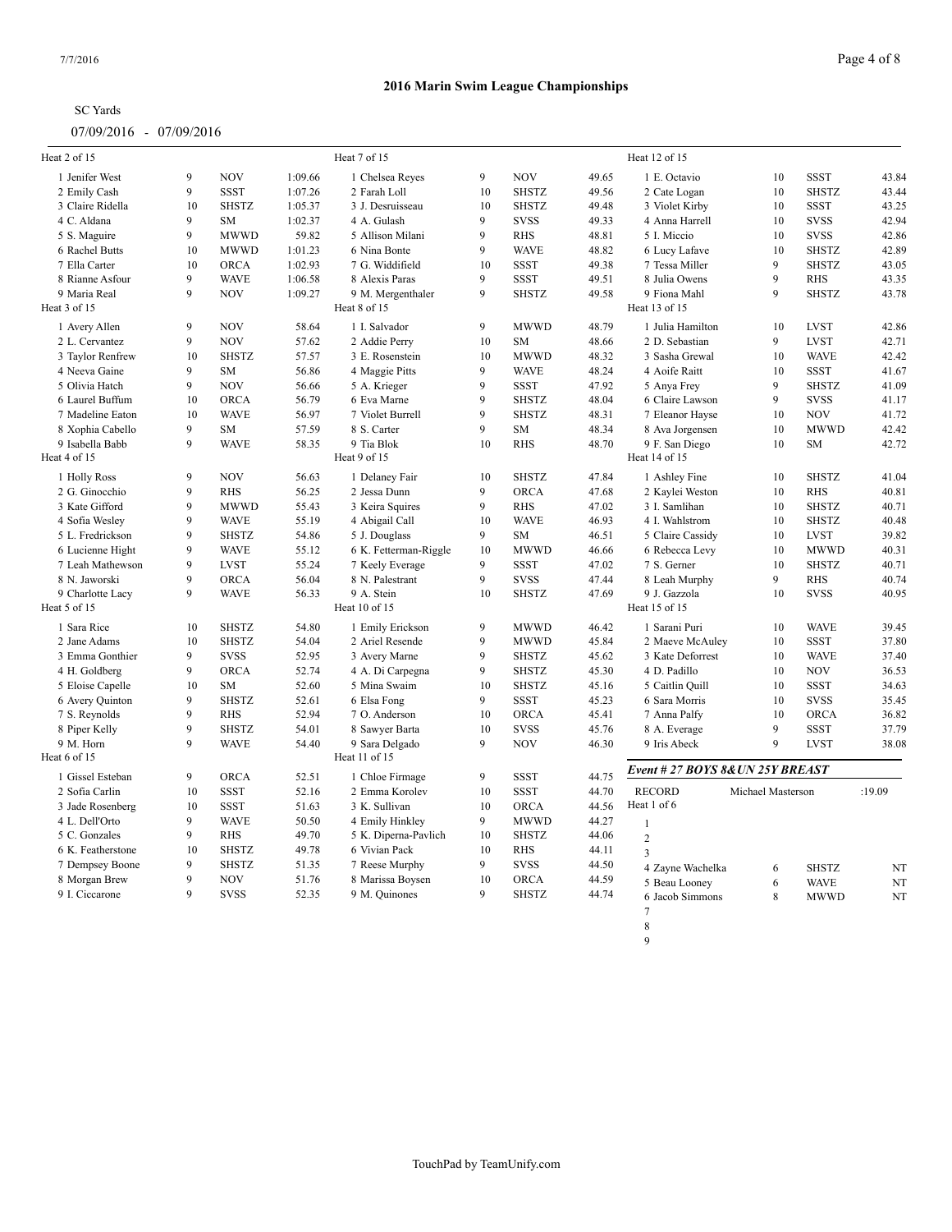| <b>SC</b> Yards |
|-----------------|
|-----------------|

| Heat 2 of 15      |              |              |         | Heat 7 of 15          |             |              |       | Heat 12 of 15                     |                   |              |        |
|-------------------|--------------|--------------|---------|-----------------------|-------------|--------------|-------|-----------------------------------|-------------------|--------------|--------|
| 1 Jenifer West    | 9            | <b>NOV</b>   | 1:09.66 | 1 Chelsea Reyes       | 9           | <b>NOV</b>   | 49.65 | 1 E. Octavio                      | 10                | <b>SSST</b>  | 43.84  |
| 2 Emily Cash      | 9            | <b>SSST</b>  | 1:07.26 | 2 Farah Loll          | 10          | <b>SHSTZ</b> | 49.56 | 2 Cate Logan                      | 10                | <b>SHSTZ</b> | 43.44  |
| 3 Claire Ridella  | 10           | <b>SHSTZ</b> | 1:05.37 | 3 J. Desruisseau      | 10          | <b>SHSTZ</b> | 49.48 | 3 Violet Kirby                    | 10                | <b>SSST</b>  | 43.25  |
| 4 C. Aldana       | 9            | <b>SM</b>    | 1:02.37 | 4 A. Gulash           | 9           | <b>SVSS</b>  | 49.33 | 4 Anna Harrell                    | 10                | <b>SVSS</b>  | 42.94  |
| 5 S. Maguire      | 9            | <b>MWWD</b>  | 59.82   | 5 Allison Milani      | 9           | <b>RHS</b>   | 48.81 | 5 I. Miccio                       | 10                | <b>SVSS</b>  | 42.86  |
| 6 Rachel Butts    | 10           | <b>MWWD</b>  | 1:01.23 | 6 Nina Bonte          | 9           | <b>WAVE</b>  | 48.82 | 6 Lucy Lafave                     | 10                | <b>SHSTZ</b> | 42.89  |
| 7 Ella Carter     | 10           | <b>ORCA</b>  | 1:02.93 | 7 G. Widdifield       | 10          | <b>SSST</b>  | 49.38 | 7 Tessa Miller                    | $\mathbf{Q}$      | <b>SHSTZ</b> | 43.05  |
| 8 Rianne Asfour   | 9            | <b>WAVE</b>  | 1:06.58 | 8 Alexis Paras        | 9           | <b>SSST</b>  | 49.51 | 8 Julia Owens                     | 9                 | <b>RHS</b>   | 43.35  |
| 9 Maria Real      | 9            | <b>NOV</b>   | 1:09.27 | 9 M. Mergenthaler     | 9           | <b>SHSTZ</b> | 49.58 | 9 Fiona Mahl                      | $\mathbf{Q}$      | <b>SHSTZ</b> | 43.78  |
| Heat 3 of 15      |              |              |         | Heat 8 of 15          |             |              |       | Heat 13 of 15                     |                   |              |        |
| 1 Avery Allen     | 9            | <b>NOV</b>   | 58.64   | 1 I. Salvador         | 9           | <b>MWWD</b>  | 48.79 | 1 Julia Hamilton                  | 10                | <b>LVST</b>  | 42.86  |
| 2 L. Cervantez    | 9            | <b>NOV</b>   | 57.62   | 2 Addie Perry         | 10          | <b>SM</b>    | 48.66 | 2 D. Sebastian                    | $\mathbf{Q}$      | <b>LVST</b>  | 42.71  |
| 3 Taylor Renfrew  | 10           | <b>SHSTZ</b> | 57.57   | 3 E. Rosenstein       | 10          | <b>MWWD</b>  | 48.32 | 3 Sasha Grewal                    | 10                | <b>WAVE</b>  | 42.42  |
| 4 Neeva Gaine     | 9            | SM           | 56.86   | 4 Maggie Pitts        | 9           | <b>WAVE</b>  | 48.24 | 4 Aoife Raitt                     | 10                | <b>SSST</b>  | 41.67  |
| 5 Olivia Hatch    | 9            | <b>NOV</b>   | 56.66   | 5 A. Krieger          | 9           | <b>SSST</b>  | 47.92 | 5 Anya Frey                       | 9                 | <b>SHSTZ</b> | 41.09  |
| 6 Laurel Buffum   | 10           | <b>ORCA</b>  | 56.79   | 6 Eva Marne           | $\mathbf Q$ | <b>SHSTZ</b> | 48.04 | 6 Claire Lawson                   | $\mathbf{Q}$      | <b>SVSS</b>  | 41.17  |
| 7 Madeline Eaton  | 10           | <b>WAVE</b>  | 56.97   | 7 Violet Burrell      | $\mathbf Q$ | <b>SHSTZ</b> | 48.31 | 7 Eleanor Hayse                   | 10                | <b>NOV</b>   | 41.72  |
| 8 Xophia Cabello  | 9            | <b>SM</b>    | 57.59   | 8 S. Carter           | 9           | <b>SM</b>    | 48.34 | 8 Ava Jorgensen                   | 10                | <b>MWWD</b>  | 42.42  |
| 9 Isabella Babb   | 9            | <b>WAVE</b>  | 58.35   | 9 Tia Blok            | 10          | <b>RHS</b>   | 48.70 | 9 F. San Diego                    | 10                | <b>SM</b>    | 42.72  |
| Heat 4 of 15      |              |              |         | Heat 9 of 15          |             |              |       | Heat 14 of 15                     |                   |              |        |
| 1 Holly Ross      | 9            | <b>NOV</b>   | 56.63   | 1 Delaney Fair        | 10          | <b>SHSTZ</b> | 47.84 | 1 Ashley Fine                     | 10                | <b>SHSTZ</b> | 41.04  |
| 2 G. Ginocchio    | 9            | <b>RHS</b>   | 56.25   | 2 Jessa Dunn          | 9           | <b>ORCA</b>  | 47.68 | 2 Kaylei Weston                   | 10                | <b>RHS</b>   | 40.81  |
| 3 Kate Gifford    | 9            | <b>MWWD</b>  | 55.43   | 3 Keira Squires       | 9           | <b>RHS</b>   | 47.02 | 3 I. Samlihan                     | 10                | <b>SHSTZ</b> | 40.71  |
| 4 Sofia Wesley    | 9            | <b>WAVE</b>  | 55.19   | 4 Abigail Call        | 10          | <b>WAVE</b>  | 46.93 | 4 I. Wahlstrom                    | 10                | <b>SHSTZ</b> | 40.48  |
| 5 L. Fredrickson  | 9            | <b>SHSTZ</b> | 54.86   | 5 J. Douglass         | 9           | <b>SM</b>    | 46.51 | 5 Claire Cassidy                  | 10                | <b>LVST</b>  | 39.82  |
| 6 Lucienne Hight  | 9            | <b>WAVE</b>  | 55.12   | 6 K. Fetterman-Riggle | 10          | <b>MWWD</b>  | 46.66 | 6 Rebecca Levy                    | 10                | <b>MWWD</b>  | 40.31  |
| 7 Leah Mathewson  | 9            | <b>LVST</b>  | 55.24   | 7 Keely Everage       | 9           | <b>SSST</b>  | 47.02 | 7 S. Gerner                       | 10                | <b>SHSTZ</b> | 40.71  |
| 8 N. Jaworski     | 9            | <b>ORCA</b>  | 56.04   | 8 N. Palestrant       | 9           | <b>SVSS</b>  | 47.44 | 8 Leah Murphy                     | 9                 | <b>RHS</b>   | 40.74  |
| 9 Charlotte Lacy  | 9            | <b>WAVE</b>  | 56.33   | 9 A. Stein            | 10          | <b>SHSTZ</b> | 47.69 | 9 J. Gazzola                      | 10                | <b>SVSS</b>  | 40.95  |
| Heat 5 of 15      |              |              |         | Heat 10 of 15         |             |              |       | Heat 15 of 15                     |                   |              |        |
| 1 Sara Rice       | 10           | <b>SHSTZ</b> | 54.80   | 1 Emily Erickson      | 9           | <b>MWWD</b>  | 46.42 | 1 Sarani Puri                     | 10                | <b>WAVE</b>  | 39.45  |
| 2 Jane Adams      | 10           | <b>SHSTZ</b> | 54.04   | 2 Ariel Resende       | 9           | <b>MWWD</b>  | 45.84 | 2 Maeve McAuley                   | 10                | <b>SSST</b>  | 37.80  |
| 3 Emma Gonthier   | 9            | <b>SVSS</b>  | 52.95   | 3 Avery Marne         | 9           | <b>SHSTZ</b> | 45.62 | 3 Kate Deforrest                  | 10                | <b>WAVE</b>  | 37.40  |
| 4 H. Goldberg     | 9            | ORCA         | 52.74   | 4 A. Di Carpegna      | 9           | <b>SHSTZ</b> | 45.30 | 4 D. Padillo                      | 10                | <b>NOV</b>   | 36.53  |
| 5 Eloise Capelle  | 10           | <b>SM</b>    | 52.60   | 5 Mina Swaim          | 10          | <b>SHSTZ</b> | 45.16 | 5 Caitlin Quill                   | 10                | <b>SSST</b>  | 34.63  |
| 6 Avery Quinton   | 9            | <b>SHSTZ</b> | 52.61   | 6 Elsa Fong           | 9           | <b>SSST</b>  | 45.23 | 6 Sara Morris                     | 10                | <b>SVSS</b>  | 35.45  |
| 7 S. Reynolds     | 9            | <b>RHS</b>   | 52.94   | 7 O. Anderson         | 10          | <b>ORCA</b>  | 45.41 | 7 Anna Palfy                      | 10                | ORCA         | 36.82  |
| 8 Piper Kelly     | 9            | <b>SHSTZ</b> | 54.01   | 8 Sawyer Barta        | 10          | <b>SVSS</b>  | 45.76 | 8 A. Everage                      | $\mathbf{Q}$      | <b>SSST</b>  | 37.79  |
| 9 M. Horn         | $\mathbf{Q}$ | <b>WAVE</b>  | 54.40   | 9 Sara Delgado        | 9           | <b>NOV</b>   | 46.30 | 9 Iris Abeck                      | $\mathbf{Q}$      | <b>LVST</b>  | 38.08  |
| Heat 6 of 15      |              |              |         | Heat 11 of 15         |             |              |       |                                   |                   |              |        |
| 1 Gissel Esteban  | 9            | ORCA         | 52.51   | 1 Chloe Firmage       | 9           | <b>SSST</b>  | 44.75 | Event # 27 BOYS 8& UN 25Y BREAST  |                   |              |        |
| 2 Sofia Carlin    | 10           | <b>SSST</b>  | 52.16   | 2 Emma Korolev        | 10          | <b>SSST</b>  | 44.70 | <b>RECORD</b>                     | Michael Masterson |              | :19.09 |
| 3 Jade Rosenberg  | 10           | <b>SSST</b>  | 51.63   | 3 K. Sullivan         | 10          | ORCA         | 44.56 | Heat 1 of 6                       |                   |              |        |
| 4 L. Dell'Orto    | 9            | <b>WAVE</b>  | 50.50   | 4 Emily Hinkley       | 9           | <b>MWWD</b>  | 44.27 | $\overline{1}$                    |                   |              |        |
| 5 C. Gonzales     | 9            | <b>RHS</b>   | 49.70   | 5 K. Diperna-Pavlich  | 10          | <b>SHSTZ</b> | 44.06 | $\overline{2}$                    |                   |              |        |
| 6 K. Featherstone | 10           | <b>SHSTZ</b> | 49.78   | 6 Vivian Pack         | 10          | <b>RHS</b>   | 44.11 | $\overline{3}$                    |                   |              |        |
|                   |              |              |         |                       |             |              |       |                                   |                   |              |        |
|                   | 9            |              |         |                       | 9           |              |       |                                   |                   |              |        |
| 7 Dempsey Boone   |              | <b>SHSTZ</b> | 51.35   | 7 Reese Murphy        |             | <b>SVSS</b>  | 44.50 | 4 Zayne Wachelka                  | 6                 | <b>SHSTZ</b> | NT     |
| 8 Morgan Brew     | 9            | <b>NOV</b>   | 51.76   | 8 Marissa Boysen      | 10          | <b>ORCA</b>  | 44.59 | 5 Beau Looney                     | 6                 | <b>WAVE</b>  | NT     |
| 9 I. Ciccarone    | 9            | <b>SVSS</b>  | 52.35   | 9 M. Quinones         | 9           | <b>SHSTZ</b> | 44.74 | 6 Jacob Simmons<br>$\overline{7}$ | 8                 | <b>MWWD</b>  | NT     |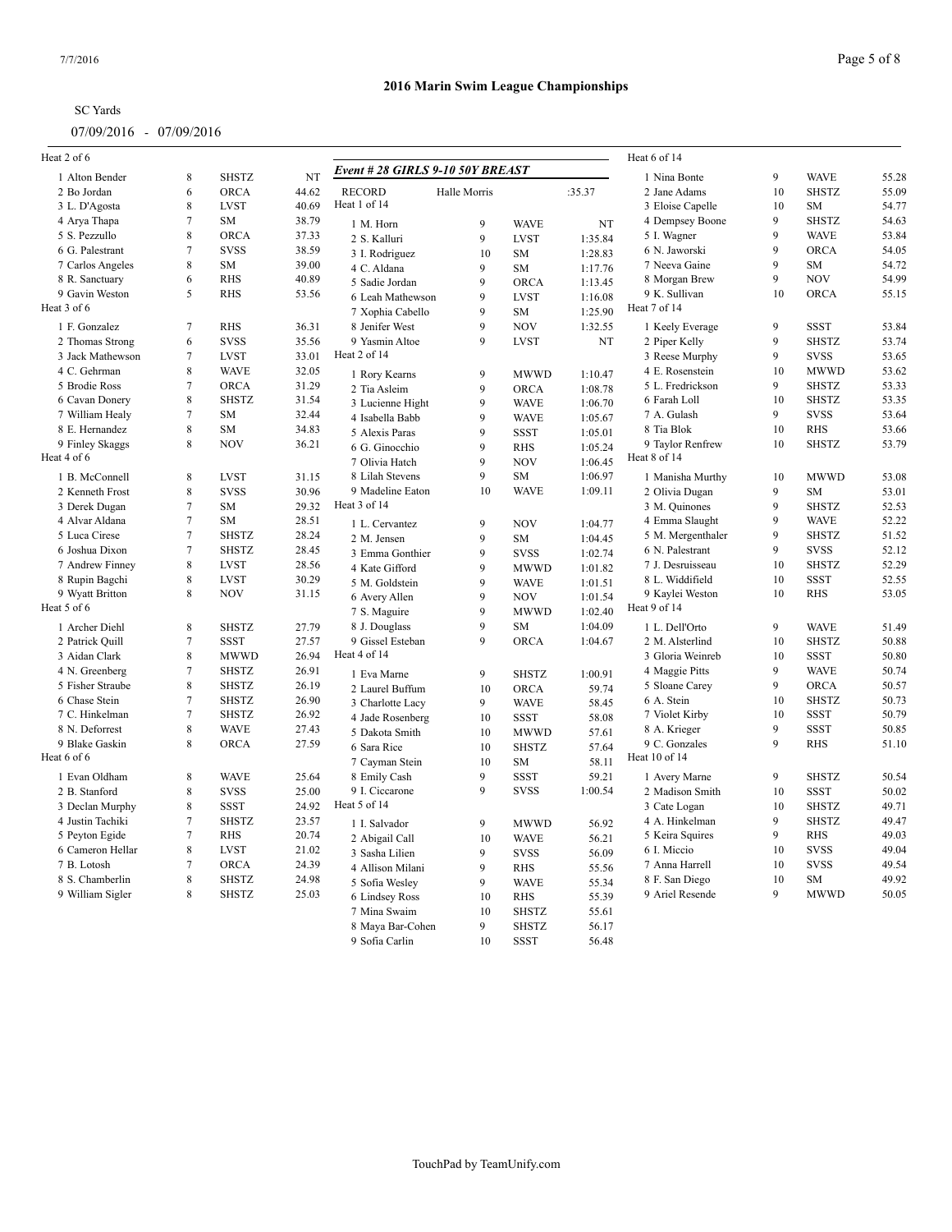| Heat 2 of 6      |                  |              |       |                                      |              |                   |                    | Heat 6 of 14      |    |              |       |
|------------------|------------------|--------------|-------|--------------------------------------|--------------|-------------------|--------------------|-------------------|----|--------------|-------|
| 1 Alton Bender   | 8                | <b>SHSTZ</b> | NT    | Event #28 GIRLS 9-10 50Y BREAST      |              |                   |                    | 1 Nina Bonte      | 9  | <b>WAVE</b>  | 55.28 |
| 2 Bo Jordan      | 6                | ORCA         | 44.62 | <b>RECORD</b>                        | Halle Morris |                   | :35.37             | 2 Jane Adams      | 10 | <b>SHSTZ</b> | 55.09 |
| 3 L. D'Agosta    | 8                | <b>LVST</b>  | 40.69 | Heat 1 of 14                         |              |                   |                    | 3 Eloise Capelle  | 10 | <b>SM</b>    | 54.77 |
| 4 Arya Thapa     | 7                | SM           | 38.79 | 1 M. Horn                            | 9            | <b>WAVE</b>       | NT                 | 4 Dempsey Boone   | 9  | <b>SHSTZ</b> | 54.63 |
| 5 S. Pezzullo    | 8                | ORCA         | 37.33 | 2 S. Kalluri                         | 9            | <b>LVST</b>       | 1:35.84            | 5 I. Wagner       | 9  | <b>WAVE</b>  | 53.84 |
| 6 G. Palestrant  | $\overline{7}$   | <b>SVSS</b>  | 38.59 | 3 I. Rodriguez                       | 10           | SM                | 1:28.83            | 6 N. Jaworski     | 9  | ORCA         | 54.05 |
| 7 Carlos Angeles | 8                | SM           | 39.00 |                                      | 9            |                   |                    | 7 Neeva Gaine     | 9  | SM           | 54.72 |
| 8 R. Sanctuary   | 6                | <b>RHS</b>   | 40.89 | 4 C. Aldana                          |              | SM                | 1:17.76            | 8 Morgan Brew     | 9  | <b>NOV</b>   | 54.99 |
| 9 Gavin Weston   | 5                | <b>RHS</b>   | 53.56 | 5 Sadie Jordan                       | 9            | <b>ORCA</b>       | 1:13.45            | 9 K. Sullivan     | 10 | ORCA         | 55.15 |
| Heat 3 of 6      |                  |              |       | 6 Leah Mathewson<br>7 Xophia Cabello | 9<br>9       | <b>LVST</b><br>SM | 1:16.08<br>1:25.90 | Heat 7 of 14      |    |              |       |
| 1 F. Gonzalez    | $\tau$           | <b>RHS</b>   | 36.31 | 8 Jenifer West                       | 9            | <b>NOV</b>        | 1:32.55            | 1 Keely Everage   | 9  | <b>SSST</b>  | 53.84 |
| 2 Thomas Strong  | 6                | <b>SVSS</b>  | 35.56 | 9 Yasmin Altoe                       | 9            | <b>LVST</b>       | NT                 | 2 Piper Kelly     | 9  | <b>SHSTZ</b> | 53.74 |
| 3 Jack Mathewson | 7                | <b>LVST</b>  | 33.01 | Heat 2 of 14                         |              |                   |                    | 3 Reese Murphy    | 9  | <b>SVSS</b>  | 53.65 |
| 4 C. Gehrman     | $\,8\,$          | <b>WAVE</b>  | 32.05 | 1 Rory Kearns                        | 9            | <b>MWWD</b>       | 1:10.47            | 4 E. Rosenstein   | 10 | <b>MWWD</b>  | 53.62 |
| 5 Brodie Ross    | $\tau$           | ORCA         | 31.29 | 2 Tia Asleim                         | 9            | <b>ORCA</b>       | 1:08.78            | 5 L. Fredrickson  | 9  | <b>SHSTZ</b> | 53.33 |
| 6 Cavan Donery   | 8                | <b>SHSTZ</b> | 31.54 | 3 Lucienne Hight                     | 9            | <b>WAVE</b>       | 1:06.70            | 6 Farah Loll      | 10 | <b>SHSTZ</b> | 53.35 |
| 7 William Healy  | $\tau$           | <b>SM</b>    | 32.44 | 4 Isabella Babb                      | 9            | <b>WAVE</b>       | 1:05.67            | 7 A. Gulash       | 9  | <b>SVSS</b>  | 53.64 |
| 8 E. Hernandez   | 8                | SM           | 34.83 | 5 Alexis Paras                       | 9            | <b>SSST</b>       | 1:05.01            | 8 Tia Blok        | 10 | <b>RHS</b>   | 53.66 |
| 9 Finley Skaggs  | 8                | <b>NOV</b>   | 36.21 | 6 G. Ginocchio                       | 9            | <b>RHS</b>        | 1:05.24            | 9 Taylor Renfrew  | 10 | <b>SHSTZ</b> | 53.79 |
| Heat 4 of 6      |                  |              |       | 7 Olivia Hatch                       | 9            | <b>NOV</b>        | 1:06.45            | Heat 8 of 14      |    |              |       |
| 1 B. McConnell   | 8                | <b>LVST</b>  | 31.15 | 8 Lilah Stevens                      | 9            | SM                | 1:06.97            |                   | 10 | <b>MWWD</b>  | 53.08 |
| 2 Kenneth Frost  | $\,8\,$          | <b>SVSS</b>  | 30.96 | 9 Madeline Eaton                     | 10           | <b>WAVE</b>       | 1:09.11            | 1 Manisha Murthy  | 9  | <b>SM</b>    | 53.01 |
|                  |                  |              |       | Heat 3 of 14                         |              |                   |                    | 2 Olivia Dugan    | 9  |              |       |
| 3 Derek Dugan    | $7\phantom{.0}$  | <b>SM</b>    | 29.32 |                                      |              |                   |                    | 3 M. Quinones     |    | <b>SHSTZ</b> | 52.53 |
| 4 Alvar Aldana   | $\tau$           | SM           | 28.51 | 1 L. Cervantez                       | 9            | <b>NOV</b>        | 1:04.77            | 4 Emma Slaught    | 9  | <b>WAVE</b>  | 52.22 |
| 5 Luca Cirese    | $7\phantom{.0}$  | <b>SHSTZ</b> | 28.24 | 2 M. Jensen                          | 9            | SM                | 1:04.45            | 5 M. Mergenthaler | 9  | <b>SHSTZ</b> | 51.52 |
| 6 Joshua Dixon   | $\overline{7}$   | <b>SHSTZ</b> | 28.45 | 3 Emma Gonthier                      | 9            | <b>SVSS</b>       | 1:02.74            | 6 N. Palestrant   | 9  | <b>SVSS</b>  | 52.12 |
| 7 Andrew Finney  | 8                | <b>LVST</b>  | 28.56 | 4 Kate Gifford                       | 9            | <b>MWWD</b>       | 1:01.82            | 7 J. Desruisseau  | 10 | <b>SHSTZ</b> | 52.29 |
| 8 Rupin Bagchi   | 8                | <b>LVST</b>  | 30.29 | 5 M. Goldstein                       | 9            | <b>WAVE</b>       | 1:01.51            | 8 L. Widdifield   | 10 | <b>SSST</b>  | 52.55 |
| 9 Wyatt Britton  | 8                | <b>NOV</b>   | 31.15 | 6 Avery Allen                        | 9            | <b>NOV</b>        | 1:01.54            | 9 Kaylei Weston   | 10 | <b>RHS</b>   | 53.05 |
| Heat 5 of 6      |                  |              |       | 7 S. Maguire                         | 9            | <b>MWWD</b>       | 1:02.40            | Heat 9 of 14      |    |              |       |
| 1 Archer Diehl   | $\,$ 8 $\,$      | <b>SHSTZ</b> | 27.79 | 8 J. Douglass                        | 9            | SM                | 1:04.09            | 1 L. Dell'Orto    | 9  | <b>WAVE</b>  | 51.49 |
| 2 Patrick Quill  | $\overline{7}$   | <b>SSST</b>  | 27.57 | 9 Gissel Esteban                     | 9            | <b>ORCA</b>       | 1:04.67            | 2 M. Alsterlind   | 10 | <b>SHSTZ</b> | 50.88 |
| 3 Aidan Clark    | 8                | <b>MWWD</b>  | 26.94 | Heat 4 of 14                         |              |                   |                    | 3 Gloria Weinreb  | 10 | <b>SSST</b>  | 50.80 |
| 4 N. Greenberg   | 7                | <b>SHSTZ</b> | 26.91 | 1 Eva Marne                          | 9            | <b>SHSTZ</b>      | 1:00.91            | 4 Maggie Pitts    | 9  | <b>WAVE</b>  | 50.74 |
| 5 Fisher Straube | $\,8\,$          | <b>SHSTZ</b> | 26.19 | 2 Laurel Buffum                      | 10           | ORCA              | 59.74              | 5 Sloane Carey    | 9  | <b>ORCA</b>  | 50.57 |
| 6 Chase Stein    | $7\phantom{.0}$  | <b>SHSTZ</b> | 26.90 | 3 Charlotte Lacy                     | 9            | <b>WAVE</b>       | 58.45              | 6 A. Stein        | 10 | <b>SHSTZ</b> | 50.73 |
| 7 C. Hinkelman   | $\overline{7}$   | <b>SHSTZ</b> | 26.92 | 4 Jade Rosenberg                     | 10           | <b>SSST</b>       | 58.08              | 7 Violet Kirby    | 10 | <b>SSST</b>  | 50.79 |
| 8 N. Deforrest   | $\,8\,$          | <b>WAVE</b>  | 27.43 | 5 Dakota Smith                       | 10           | <b>MWWD</b>       | 57.61              | 8 A. Krieger      | 9  | <b>SSST</b>  | 50.85 |
| 9 Blake Gaskin   | 8                | ORCA         | 27.59 | 6 Sara Rice                          | 10           | <b>SHSTZ</b>      | 57.64              | 9 C. Gonzales     | 9  | <b>RHS</b>   | 51.10 |
| Heat 6 of 6      |                  |              |       |                                      |              |                   | 58.11              | Heat 10 of 14     |    |              |       |
|                  |                  |              |       | 7 Cayman Stein                       | 10<br>9      | SM<br><b>SSST</b> |                    |                   |    |              |       |
| 1 Evan Oldham    | 8                | <b>WAVE</b>  | 25.64 | 8 Emily Cash                         | 9            |                   | 59.21              | 1 Avery Marne     | 9  | <b>SHSTZ</b> | 50.54 |
| 2 B. Stanford    | $\,$ 8 $\,$      | <b>SVSS</b>  | 25.00 | 9 I. Ciccarone<br>Heat 5 of 14       |              | <b>SVSS</b>       | 1:00.54            | 2 Madison Smith   | 10 | <b>SSST</b>  | 50.02 |
| 3 Declan Murphy  | 8                | <b>SSST</b>  | 24.92 |                                      |              |                   |                    | 3 Cate Logan      | 10 | <b>SHSTZ</b> | 49.71 |
| 4 Justin Tachiki | $\boldsymbol{7}$ | <b>SHSTZ</b> | 23.57 | 1 I. Salvador                        | 9            | <b>MWWD</b>       | 56.92              | 4 A. Hinkelman    | 9  | <b>SHSTZ</b> | 49.47 |
| 5 Peyton Egide   | $\tau$           | <b>RHS</b>   | 20.74 | 2 Abigail Call                       | 10           | <b>WAVE</b>       | 56.21              | 5 Keira Squires   | 9  | <b>RHS</b>   | 49.03 |
| 6 Cameron Hellar | $\,8\,$          | <b>LVST</b>  | 21.02 | 3 Sasha Lilien                       | 9            | <b>SVSS</b>       | 56.09              | 6 I. Miccio       | 10 | <b>SVSS</b>  | 49.04 |
| 7 B. Lotosh      | $\tau$           | ORCA         | 24.39 | 4 Allison Milani                     | 9            | <b>RHS</b>        | 55.56              | 7 Anna Harrell    | 10 | <b>SVSS</b>  | 49.54 |
| 8 S. Chamberlin  | $\,$ 8 $\,$      | <b>SHSTZ</b> | 24.98 | 5 Sofia Wesley                       | 9            | <b>WAVE</b>       | 55.34              | 8 F. San Diego    | 10 | SM           | 49.92 |
| 9 William Sigler | 8                | <b>SHSTZ</b> | 25.03 | 6 Lindsey Ross                       | 10           | <b>RHS</b>        | 55.39              | 9 Ariel Resende   | 9  | <b>MWWD</b>  | 50.05 |
|                  |                  |              |       | 7 Mina Swaim                         | 10           | <b>SHSTZ</b>      | 55.61              |                   |    |              |       |
|                  |                  |              |       | 8 Maya Bar-Cohen                     | 9            | <b>SHSTZ</b>      | 56.17              |                   |    |              |       |
|                  |                  |              |       | 9 Sofia Carlin                       | 10           | <b>SSST</b>       | 56.48              |                   |    |              |       |
|                  |                  |              |       |                                      |              |                   |                    |                   |    |              |       |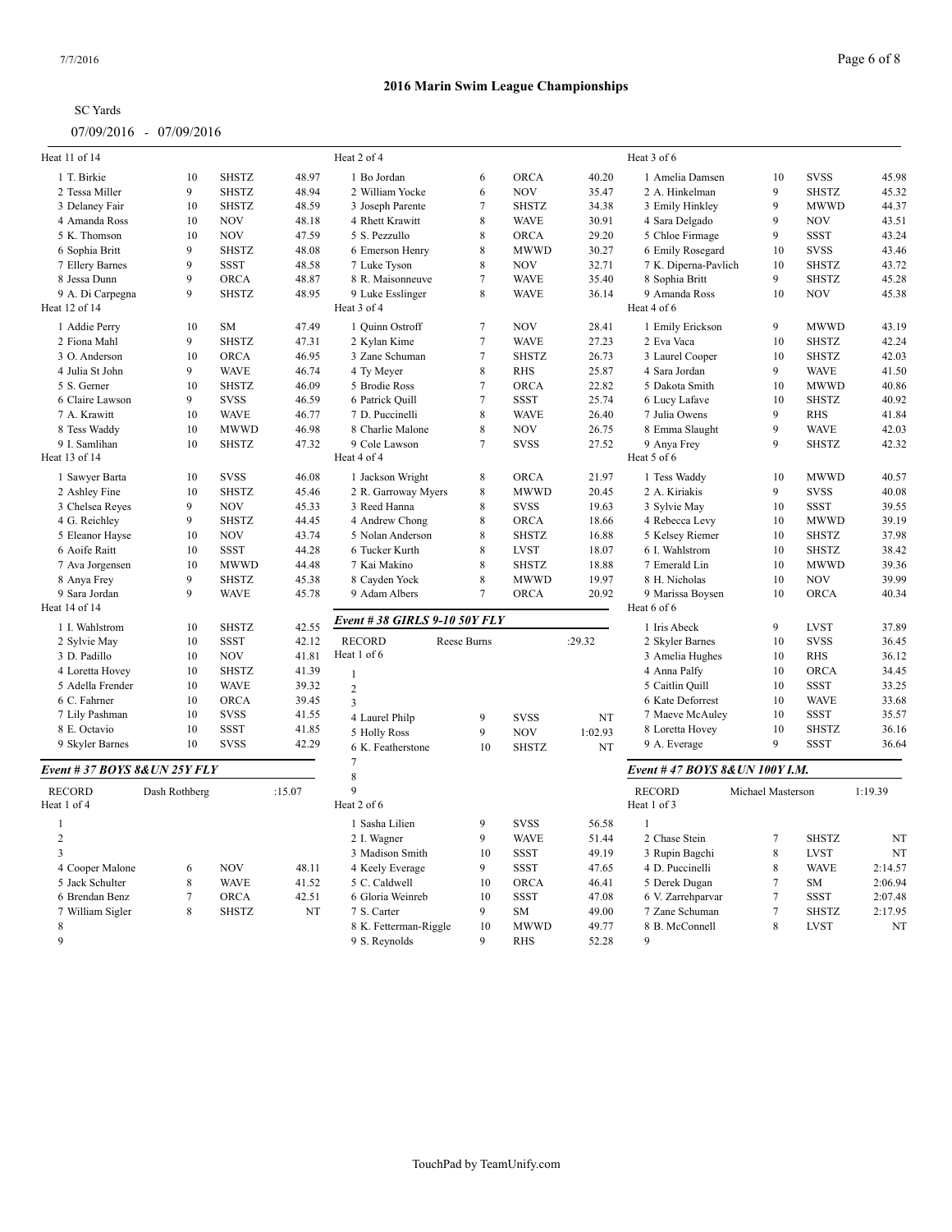| Heat 11 of 14                  |                |              |        | Heat 2 of 4                  |                     |              |         | Heat 3 of 6                     |                   |              |         |
|--------------------------------|----------------|--------------|--------|------------------------------|---------------------|--------------|---------|---------------------------------|-------------------|--------------|---------|
| 1 T. Birkie                    | 10             | <b>SHSTZ</b> | 48.97  | 1 Bo Jordan                  | 6                   | <b>ORCA</b>  | 40.20   | 1 Amelia Damsen                 | 10                | <b>SVSS</b>  | 45.98   |
| 2 Tessa Miller                 | 9              | <b>SHSTZ</b> | 48.94  | 2 William Yocke              | 6                   | <b>NOV</b>   | 35.47   | 2 A. Hinkelman                  | $\mathbf{Q}$      | <b>SHSTZ</b> | 45.32   |
| 3 Delaney Fair                 | 10             | <b>SHSTZ</b> | 48.59  | 3 Joseph Parente             | $\overline{7}$      | <b>SHSTZ</b> | 34.38   | 3 Emily Hinkley                 | 9                 | <b>MWWD</b>  | 44.37   |
| 4 Amanda Ross                  | 10             | <b>NOV</b>   | 48.18  | 4 Rhett Krawitt              | 8                   | <b>WAVE</b>  | 30.91   | 4 Sara Delgado                  | 9                 | <b>NOV</b>   | 43.51   |
| 5 K. Thomson                   | 10             | <b>NOV</b>   | 47.59  | 5 S. Pezzullo                | 8                   | ORCA         | 29.20   | 5 Chloe Firmage                 | $\mathbf{Q}$      | SSST         | 43.24   |
| 6 Sophia Britt                 | 9              | <b>SHSTZ</b> | 48.08  | 6 Emerson Henry              | 8                   | <b>MWWD</b>  | 30.27   | 6 Emily Rosegard                | 10                | <b>SVSS</b>  | 43.46   |
| 7 Ellery Barnes                | 9              | <b>SSST</b>  | 48.58  | 7 Luke Tyson                 | 8                   | <b>NOV</b>   | 32.71   | 7 K. Diperna-Pavlich            | 10                | <b>SHSTZ</b> | 43.72   |
| 8 Jessa Dunn                   | 9              | <b>ORCA</b>  | 48.87  | 8 R. Maisonneuve             | $\overline{7}$      | <b>WAVE</b>  | 35.40   | 8 Sophia Britt                  | $\mathbf{Q}$      | <b>SHSTZ</b> | 45.28   |
| 9 A. Di Carpegna               | 9              | <b>SHSTZ</b> | 48.95  | 9 Luke Esslinger             | 8                   | <b>WAVE</b>  | 36.14   | 9 Amanda Ross                   | 10                | <b>NOV</b>   | 45.38   |
| Heat 12 of 14                  |                |              |        | Heat 3 of 4                  |                     |              |         | Heat 4 of 6                     |                   |              |         |
| 1 Addie Perry                  | 10             | ${\rm SM}$   | 47.49  | 1 Quinn Ostroff              | $\overline{7}$      | <b>NOV</b>   | 28.41   | 1 Emily Erickson                | 9                 | <b>MWWD</b>  | 43.19   |
| 2 Fiona Mahl                   | 9              | <b>SHSTZ</b> | 47.31  | 2 Kylan Kime                 | $\overline{7}$      | <b>WAVE</b>  | 27.23   | 2 Eva Vaca                      | 10                | <b>SHSTZ</b> | 42.24   |
| 3 O. Anderson                  | 10             | ORCA         | 46.95  | 3 Zane Schuman               | $\overline{7}$      | <b>SHSTZ</b> | 26.73   | 3 Laurel Cooper                 | 10                | <b>SHSTZ</b> | 42.03   |
| 4 Julia St John                | 9              | <b>WAVE</b>  | 46.74  | 4 Ty Meyer                   | 8                   | <b>RHS</b>   | 25.87   | 4 Sara Jordan                   | $\mathbf{Q}$      | <b>WAVE</b>  | 41.50   |
| 5 S. Gerner                    | 10             | <b>SHSTZ</b> | 46.09  | 5 Brodie Ross                | $\tau$              | ORCA         | 22.82   | 5 Dakota Smith                  | 10                | <b>MWWD</b>  | 40.86   |
| 6 Claire Lawson                | 9              | <b>SVSS</b>  | 46.59  | 6 Patrick Quill              | $\overline{7}$      | <b>SSST</b>  | 25.74   | 6 Lucy Lafave                   | 10                | <b>SHSTZ</b> | 40.92   |
| 7 A. Krawitt                   | 10             | <b>WAVE</b>  | 46.77  | 7 D. Puccinelli              | 8                   | <b>WAVE</b>  | 26.40   | 7 Julia Owens                   | $\mathbf{Q}$      | <b>RHS</b>   | 41.84   |
| 8 Tess Waddy                   | 10             | <b>MWWD</b>  | 46.98  | 8 Charlie Malone             | 8                   | <b>NOV</b>   | 26.75   | 8 Emma Slaught                  | 9                 | <b>WAVE</b>  | 42.03   |
| 9 I. Samlihan<br>Heat 13 of 14 | 10             | <b>SHSTZ</b> | 47.32  | 9 Cole Lawson<br>Heat 4 of 4 | $\overline{7}$      | <b>SVSS</b>  | 27.52   | 9 Anya Frey<br>Heat 5 of 6      | 9                 | <b>SHSTZ</b> | 42.32   |
| 1 Sawyer Barta                 | 10             | <b>SVSS</b>  | 46.08  | 1 Jackson Wright             | $\,$ 8 $\,$         | <b>ORCA</b>  | 21.97   | 1 Tess Waddy                    | 10                | <b>MWWD</b>  | 40.57   |
| 2 Ashley Fine                  | 10             | <b>SHSTZ</b> | 45.46  | 2 R. Garroway Myers          | $\,$ 8 $\,$         | <b>MWWD</b>  | 20.45   | 2 A. Kiriakis                   | $\overline{9}$    | <b>SVSS</b>  | 40.08   |
| 3 Chelsea Reyes                | 9              | <b>NOV</b>   | 45.33  | 3 Reed Hanna                 | 8                   | <b>SVSS</b>  | 19.63   | 3 Sylvie May                    | 10                | <b>SSST</b>  | 39.55   |
| 4 G. Reichley                  | 9              | <b>SHSTZ</b> | 44.45  | 4 Andrew Chong               | $\,$ 8 $\,$         | <b>ORCA</b>  | 18.66   | 4 Rebecca Levy                  | 10                | <b>MWWD</b>  | 39.19   |
|                                | 10             | <b>NOV</b>   | 43.74  |                              | 8                   | <b>SHSTZ</b> |         |                                 | 10                | <b>SHSTZ</b> | 37.98   |
| 5 Eleanor Hayse                |                |              |        | 5 Nolan Anderson             | 8                   |              | 16.88   | 5 Kelsey Riemer                 |                   |              |         |
| 6 Aoife Raitt                  | 10<br>10       | <b>SSST</b>  | 44.28  | 6 Tucker Kurth               | 8                   | <b>LVST</b>  | 18.07   | 6 I. Wahlstrom                  | 10                | <b>SHSTZ</b> | 38.42   |
| 7 Ava Jorgensen                |                | <b>MWWD</b>  | 44.48  | 7 Kai Makino                 |                     | <b>SHSTZ</b> | 18.88   | 7 Emerald Lin                   | 10                | <b>MWWD</b>  | 39.36   |
| 8 Anya Frey<br>9 Sara Jordan   | 9<br>9         | <b>SHSTZ</b> | 45.38  | 8 Cayden Yock                | 8<br>$\overline{7}$ | <b>MWWD</b>  | 19.97   | 8 H. Nicholas                   | 10                | <b>NOV</b>   | 39.99   |
| Heat 14 of 14                  |                | <b>WAVE</b>  | 45.78  | 9 Adam Albers                |                     | <b>ORCA</b>  | 20.92   | 9 Marissa Boysen<br>Heat 6 of 6 | 10                | ORCA         | 40.34   |
| 1 I. Wahlstrom                 | 10             | <b>SHSTZ</b> | 42.55  | Event #38 GIRLS 9-10 50Y FLY |                     |              |         | 1 Iris Abeck                    | $\mathbf{Q}$      | <b>LVST</b>  | 37.89   |
| 2 Sylvie May                   | 10             | <b>SSST</b>  | 42.12  | <b>RECORD</b>                | Reese Burns         |              | :29.32  | 2 Skyler Barnes                 | 10                | <b>SVSS</b>  | 36.45   |
| 3 D. Padillo                   | 10             | <b>NOV</b>   | 41.81  | Heat 1 of 6                  |                     |              |         | 3 Amelia Hughes                 | 10                | <b>RHS</b>   | 36.12   |
| 4 Loretta Hovey                | 10             | <b>SHSTZ</b> | 41.39  | $\overline{1}$               |                     |              |         | 4 Anna Palfy                    | 10                | ORCA         | 34.45   |
| 5 Adella Frender               | 10             | <b>WAVE</b>  | 39.32  | $\overline{2}$               |                     |              |         | 5 Caitlin Quill                 | 10                | <b>SSST</b>  | 33.25   |
| 6 C. Fahrner                   | 10             | <b>ORCA</b>  | 39.45  | $\overline{3}$               |                     |              |         | 6 Kate Deforrest                | 10                | <b>WAVE</b>  | 33.68   |
| 7 Lily Pashman                 | 10             | <b>SVSS</b>  | 41.55  | 4 Laurel Philp               | 9                   | <b>SVSS</b>  | NT      | 7 Maeve McAuley                 | 10                | <b>SSST</b>  | 35.57   |
| 8 E. Octavio                   | 10             | <b>SSST</b>  | 41.85  | 5 Holly Ross                 | 9                   | <b>NOV</b>   | 1:02.93 | 8 Loretta Hovey                 | 10                | <b>SHSTZ</b> | 36.16   |
| 9 Skyler Barnes                | 10             | <b>SVSS</b>  | 42.29  | 6 K. Featherstone            | 10                  | <b>SHSTZ</b> | NT      | 9 A. Everage                    | $\mathbf{Q}$      | <b>SSST</b>  | 36.64   |
| Event # 37 BOYS 8& UN 25Y FLY  |                |              |        | $7\phantom{.0}$<br>8         |                     |              |         | Event #47 BOYS 8& UN 100Y I.M.  |                   |              |         |
| <b>RECORD</b>                  | Dash Rothberg  |              | :15.07 | $\overline{9}$               |                     |              |         | <b>RECORD</b>                   | Michael Masterson |              | 1:19.39 |
| Heat 1 of 4                    |                |              |        | Heat 2 of 6                  |                     |              |         | Heat 1 of 3                     |                   |              |         |
| $\overline{1}$                 |                |              |        | 1 Sasha Lilien               | 9                   | <b>SVSS</b>  | 56.58   | $\overline{1}$                  |                   |              |         |
| $\overline{2}$                 |                |              |        | 2 I. Wagner                  | 9                   | <b>WAVE</b>  | 51.44   | 2 Chase Stein                   | $\tau$            | <b>SHSTZ</b> | NT      |
| $\mathcal{R}$                  |                |              |        | 3 Madison Smith              | 10                  | <b>SSST</b>  | 49.19   | 3 Rupin Bagchi                  | $\,8\,$           | <b>LVST</b>  | NT      |
| 4 Cooper Malone                | 6              | <b>NOV</b>   | 48.11  | 4 Keely Everage              | 9                   | <b>SSST</b>  | 47.65   | 4 D. Puccinelli                 | 8                 | <b>WAVE</b>  | 2:14.57 |
| 5 Jack Schulter                | 8              | <b>WAVE</b>  | 41.52  | 5 C. Caldwell                | 10                  | <b>ORCA</b>  | 46.41   | 5 Derek Dugan                   | $\tau$            | <b>SM</b>    | 2:06.94 |
| 6 Brendan Benz                 | $\overline{7}$ | <b>ORCA</b>  | 42.51  | 6 Gloria Weinreb             | 10                  | <b>SSST</b>  | 47.08   | 6 V. Zarrehparvar               | $7\phantom{.0}$   | <b>SSST</b>  | 2:07.48 |
| 7 William Sigler               | 8              | <b>SHSTZ</b> | NT     | 7 S. Carter                  | 9                   | <b>SM</b>    | 49.00   | 7 Zane Schuman                  | $\overline{7}$    | <b>SHSTZ</b> | 2:17.95 |
| 8                              |                |              |        | 8 K. Fetterman-Riggle        | 10                  | <b>MWWD</b>  | 49.77   | 8 B. McConnell                  | 8                 | <b>LVST</b>  | NT      |
| $\overline{Q}$                 |                |              |        | 9 S. Reynolds                | $\mathbf Q$         | <b>RHS</b>   | 52.28   | 9                               |                   |              |         |
|                                |                |              |        |                              |                     |              |         |                                 |                   |              |         |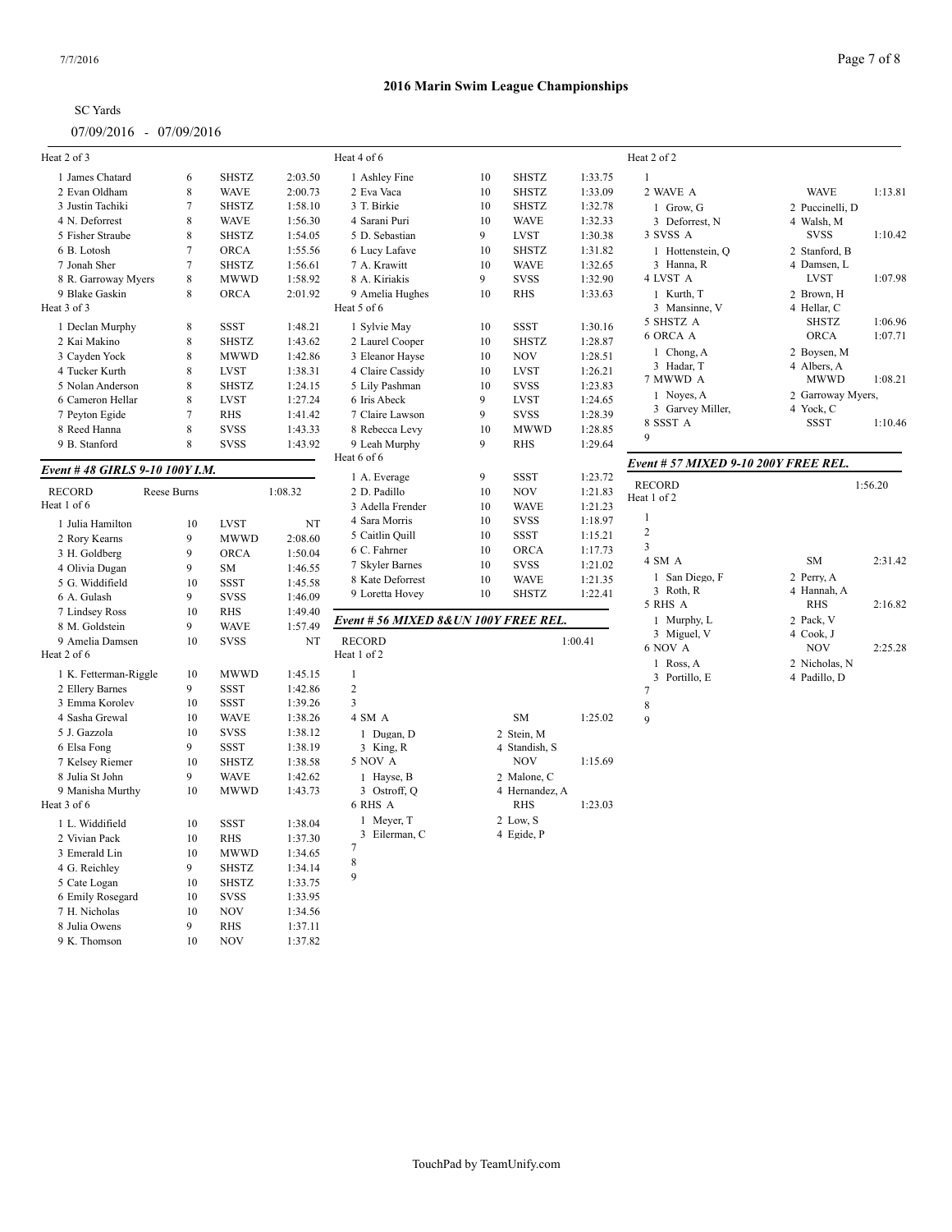| SC Yards                |  |
|-------------------------|--|
| 07/09/2016 - 07/09/2016 |  |

9 K. Thomson 10 NOV 1:37.82

#### 7/7/2016 Page 7 of 8

| Heat 2 of 3                      |                |                            |                    | Heat 4 of 6                           |    |                               |         | Heat 2 of 2                          |                   |         |
|----------------------------------|----------------|----------------------------|--------------------|---------------------------------------|----|-------------------------------|---------|--------------------------------------|-------------------|---------|
| 1 James Chatard                  | 6              | <b>SHSTZ</b>               | 2:03.50            | 1 Ashley Fine                         | 10 | <b>SHSTZ</b>                  | 1:33.75 | $\mathbf{1}$                         |                   |         |
| 2 Evan Oldham                    | 8              | <b>WAVE</b>                | 2:00.73            | 2 Eva Vaca                            | 10 | <b>SHSTZ</b>                  | 1:33.09 | 2 WAVE A                             | <b>WAVE</b>       | 1:13.81 |
| 3 Justin Tachiki                 | $\overline{7}$ | <b>SHSTZ</b>               | 1:58.10            | 3 T. Birkie                           | 10 | <b>SHSTZ</b>                  | 1:32.78 | 1 Grow, G                            | 2 Puccinelli, D   |         |
| 4 N. Deforrest                   | 8              | <b>WAVE</b>                | 1:56.30            | 4 Sarani Puri                         | 10 | <b>WAVE</b>                   | 1:32.33 | 3 Deforrest, N                       | 4 Walsh, M        |         |
| 5 Fisher Straube                 | 8              | <b>SHSTZ</b>               | 1:54.05            | 5 D. Sebastian                        | 9  | LVST                          | 1:30.38 | 3 SVSS A                             | <b>SVSS</b>       | 1:10.42 |
| 6 B. Lotosh                      | $\overline{7}$ | <b>ORCA</b>                | 1:55.56            | 6 Lucy Lafave                         | 10 | <b>SHSTZ</b>                  | 1:31.82 | 1 Hottenstein, Q                     | 2 Stanford, B     |         |
| 7 Jonah Sher                     | $\overline{7}$ | <b>SHSTZ</b>               | 1:56.61            | 7 A. Krawitt                          | 10 | <b>WAVE</b>                   | 1:32.65 | 3 Hanna, R                           | 4 Damsen, L       |         |
| 8 R. Garroway Myers              | $\,$ 8 $\,$    | <b>MWWD</b>                | 1:58.92            | 8 A. Kiriakis                         | 9  | <b>SVSS</b>                   | 1:32.90 | 4 LVST A                             | <b>LVST</b>       | 1:07.98 |
| 9 Blake Gaskin                   | 8              | <b>ORCA</b>                | 2:01.92            | 9 Amelia Hughes                       | 10 | <b>RHS</b>                    | 1:33.63 | 1 Kurth, T                           | 2 Brown, H        |         |
| Heat 3 of 3                      |                |                            |                    | Heat 5 of 6                           |    |                               |         | 3 Mansinne, V                        | 4 Hellar, C       |         |
| 1 Declan Murphy                  | $\,$ 8 $\,$    | <b>SSST</b>                | 1:48.21            | 1 Sylvie May                          | 10 | <b>SSST</b>                   | 1:30.16 | 5 SHSTZ A                            | <b>SHSTZ</b>      | 1:06.96 |
| 2 Kai Makino                     | $\,$ 8 $\,$    | <b>SHSTZ</b>               | 1:43.62            | 2 Laurel Cooper                       | 10 | <b>SHSTZ</b>                  | 1:28.87 | 6 ORCA A                             | <b>ORCA</b>       | 1:07.71 |
| 3 Cayden Yock                    | 8              | <b>MWWD</b>                | 1:42.86            | 3 Eleanor Hayse                       | 10 | <b>NOV</b>                    | 1:28.51 | 1 Chong, A                           | 2 Boysen, M       |         |
| 4 Tucker Kurth                   | 8              | <b>LVST</b>                | 1:38.31            | 4 Claire Cassidy                      | 10 | <b>LVST</b>                   | 1:26.21 | 3 Hadar, T                           | 4 Albers, A       |         |
| 5 Nolan Anderson                 | $\,$ 8 $\,$    | <b>SHSTZ</b>               | 1:24.15            | 5 Lily Pashman                        | 10 | <b>SVSS</b>                   | 1:23.83 | 7 MWWD A                             | <b>MWWD</b>       | 1:08.21 |
| 6 Cameron Hellar                 | $\,$ 8 $\,$    | <b>LVST</b>                | 1:27.24            | 6 Iris Abeck                          | 9  | <b>LVST</b>                   | 1:24.65 | 1 Noyes, A                           | 2 Garroway Myers, |         |
| 7 Peyton Egide                   | $\overline{7}$ | <b>RHS</b>                 | 1:41.42            | 7 Claire Lawson                       | 9  | <b>SVSS</b>                   | 1:28.39 | 3 Garvey Miller,                     | 4 Yock, C         |         |
| 8 Reed Hanna                     | 8              | <b>SVSS</b>                | 1:43.33            | 8 Rebecca Levy                        | 10 | <b>MWWD</b>                   | 1:28.85 | 8 SSST A                             | <b>SSST</b>       | 1:10.46 |
| 9 B. Stanford                    | 8              | <b>SVSS</b>                | 1:43.92            | 9 Leah Murphy                         | 9  | RHS                           | 1:29.64 | 9                                    |                   |         |
|                                  |                |                            |                    | Heat 6 of 6                           |    |                               |         | Event # 57 MIXED 9-10 200Y FREE REL. |                   |         |
| Event # 48 GIRLS 9-10 100Y I.M.  |                |                            |                    | 1 A. Everage                          | 9  | <b>SSST</b>                   | 1:23.72 |                                      |                   |         |
| <b>RECORD</b>                    | Reese Burns    |                            | 1:08.32            | 2 D. Padillo                          | 10 | <b>NOV</b>                    | 1:21.83 | <b>RECORD</b>                        |                   | 1:56.20 |
| Heat 1 of 6                      |                |                            |                    | 3 Adella Frender                      | 10 | <b>WAVE</b>                   | 1:21.23 | Heat 1 of 2                          |                   |         |
| 1 Julia Hamilton                 | 10             | <b>LVST</b>                | NT                 | 4 Sara Morris                         | 10 | <b>SVSS</b>                   | 1:18.97 | $\mathbf{1}$                         |                   |         |
| 2 Rory Kearns                    | 9              | <b>MWWD</b>                | 2:08.60            | 5 Caitlin Quill                       | 10 | <b>SSST</b>                   | 1:15.21 | $\overline{2}$                       |                   |         |
| 3 H. Goldberg                    | 9              | <b>ORCA</b>                | 1:50.04            | 6 C. Fahrner                          | 10 | ORCA                          | 1:17.73 | $\overline{\mathbf{3}}$              |                   |         |
| 4 Olivia Dugan                   | 9              | SM                         | 1:46.55            | 7 Skyler Barnes                       | 10 | <b>SVSS</b>                   | 1:21.02 | 4 SM A                               | SM                | 2:31.42 |
| 5 G. Widdifield                  | 10             | <b>SSST</b>                | 1:45.58            | 8 Kate Deforrest                      | 10 | <b>WAVE</b>                   | 1:21.35 | 1 San Diego, F                       | 2 Perry, A        |         |
| 6 A. Gulash                      | 9              | <b>SVSS</b>                | 1:46.09            | 9 Loretta Hovey                       | 10 | <b>SHSTZ</b>                  | 1:22.41 | 3 Roth, R                            | 4 Hannah, A       |         |
| 7 Lindsey Ross                   | 10             | <b>RHS</b>                 | 1:49.40            |                                       |    |                               |         | 5 RHS A                              | <b>RHS</b>        | 2:16.82 |
| 8 M. Goldstein                   | 9              | <b>WAVE</b>                | 1:57.49            | Event # 56 MIXED 8& UN 100Y FREE REL. |    |                               |         | 1 Murphy, L                          | 2 Pack, V         |         |
| 9 Amelia Damsen                  | 10             | <b>SVSS</b>                | NT                 | <b>RECORD</b>                         |    |                               | 1:00.41 | 3 Miguel, V                          | 4 Cook, J         |         |
| Heat 2 of 6                      |                |                            |                    | Heat 1 of 2                           |    |                               |         | 6 NOV A                              | <b>NOV</b>        | 2:25.28 |
|                                  |                |                            |                    |                                       |    |                               |         | 1 Ross, A                            | 2 Nicholas, N     |         |
| 1 K. Fetterman-Riggle            | 10<br>9        | <b>MWWD</b><br><b>SSST</b> | 1:45.15<br>1:42.86 | $\mathbf{1}$<br>$\overline{c}$        |    |                               |         | 3 Portillo, E                        | 4 Padillo, D      |         |
| 2 Ellery Barnes                  | 10             |                            |                    | 3                                     |    |                               |         | $\overline{7}$                       |                   |         |
| 3 Emma Korolev<br>4 Sasha Grewal | 10             | <b>SSST</b><br><b>WAVE</b> | 1:39.26<br>1:38.26 | 4 SM A                                |    | SM                            | 1:25.02 | 8                                    |                   |         |
| 5 J. Gazzola                     | 10             | <b>SVSS</b>                | 1:38.12            |                                       |    |                               |         | 9                                    |                   |         |
| 6 Elsa Fong                      | 9              | SSST                       | 1:38.19            | 1 Dugan, D                            |    | 2 Stein, M                    |         |                                      |                   |         |
| 7 Kelsey Riemer                  | 10             | <b>SHSTZ</b>               | 1:38.58            | 3 King, R<br>5 NOV A                  |    | 4 Standish, S<br><b>NOV</b>   | 1:15.69 |                                      |                   |         |
| 8 Julia St John                  | 9              | <b>WAVE</b>                |                    |                                       |    |                               |         |                                      |                   |         |
|                                  | 10             | <b>MWWD</b>                | 1:42.62            | 1 Hayse, B<br>3 Ostroff, Q            |    | 2 Malone, C<br>4 Hernandez, A |         |                                      |                   |         |
| 9 Manisha Murthy<br>Heat 3 of 6  |                |                            | 1:43.73            | 6 RHS A                               |    | <b>RHS</b>                    | 1:23.03 |                                      |                   |         |
|                                  |                |                            |                    | 1 Meyer, T                            |    | 2 Low, S                      |         |                                      |                   |         |
| 1 L. Widdifield                  | 10             | <b>SSST</b>                | 1:38.04            | 3 Eilerman, C                         |    | 4 Egide, P                    |         |                                      |                   |         |
| 2 Vivian Pack                    | 10             | <b>RHS</b>                 | 1:37.30            | 7                                     |    |                               |         |                                      |                   |         |
| 3 Emerald Lin                    | 10             | <b>MWWD</b>                | 1:34.65            | 8                                     |    |                               |         |                                      |                   |         |
| 4 G. Reichley                    | 9              | <b>SHSTZ</b>               | 1:34.14            | 9                                     |    |                               |         |                                      |                   |         |
| 5 Cate Logan                     | 10             | <b>SHSTZ</b>               | 1:33.75            |                                       |    |                               |         |                                      |                   |         |
| 6 Emily Rosegard                 | 10             | <b>SVSS</b>                | 1:33.95            |                                       |    |                               |         |                                      |                   |         |
| 7 H. Nicholas                    | 10             | <b>NOV</b>                 | 1:34.56            |                                       |    |                               |         |                                      |                   |         |
| 8 Julia Owens                    | 9              | <b>RHS</b>                 | 1:37.11            |                                       |    |                               |         |                                      |                   |         |